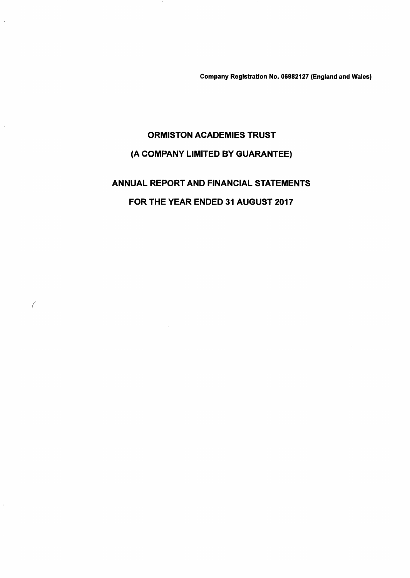Company Registration No. 06982127 (England and Wales)

# ORMISTON ACADEMIES TRUST (A COMPANY LIMITED BY GUARANTEE)

## ANNUAL REPORT AND FINANCIAL STATEMENTS FOR THE YEAR ENDED 31 AUGUST 2017

 $\bigg)$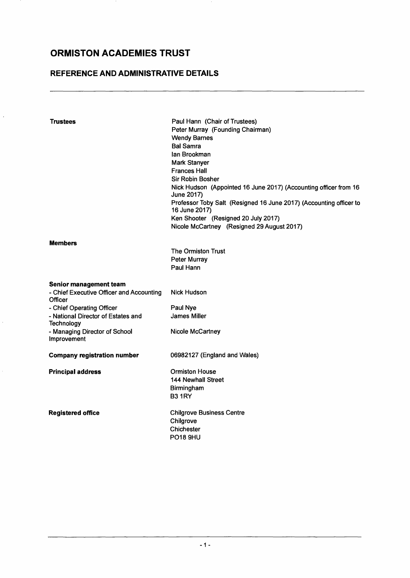### **REFERENCE AND ADMINISTRATIVE DETAILS**

| <b>Trustees</b>                                                                                                                                                                                                | Paul Hann (Chair of Trustees)<br>Peter Murray (Founding Chairman)<br><b>Wendy Barnes</b><br><b>Bal Samra</b><br>lan Brookman<br><b>Mark Stanyer</b><br><b>Frances Hall</b><br><b>Sir Robin Bosher</b><br>Nick Hudson (Appointed 16 June 2017) (Accounting officer from 16<br>June 2017)<br>Professor Toby Salt (Resigned 16 June 2017) (Accounting officer to |
|----------------------------------------------------------------------------------------------------------------------------------------------------------------------------------------------------------------|---------------------------------------------------------------------------------------------------------------------------------------------------------------------------------------------------------------------------------------------------------------------------------------------------------------------------------------------------------------|
|                                                                                                                                                                                                                | 16 June 2017)<br>Ken Shooter (Resigned 20 July 2017)<br>Nicole McCartney (Resigned 29 August 2017)                                                                                                                                                                                                                                                            |
| Members                                                                                                                                                                                                        | The Ormiston Trust<br>Peter Murray<br>Paul Hann                                                                                                                                                                                                                                                                                                               |
| Senior management team<br>- Chief Executive Officer and Accounting<br>Officer<br>- Chief Operating Officer<br>- National Director of Estates and<br>Technology<br>- Managing Director of School<br>Improvement | Nick Hudson<br>Paul Nye<br>James Miller<br><b>Nicole McCartney</b>                                                                                                                                                                                                                                                                                            |
| <b>Company registration number</b>                                                                                                                                                                             | 06982127 (England and Wales)                                                                                                                                                                                                                                                                                                                                  |
| <b>Principal address</b>                                                                                                                                                                                       | Ormiston House<br><b>144 Newhall Street</b><br>Birmingham<br><b>B3 1RY</b>                                                                                                                                                                                                                                                                                    |
| <b>Registered office</b>                                                                                                                                                                                       | <b>Chilgrove Business Centre</b><br>Chilgrove<br>Chichester<br><b>PO18 9HU</b>                                                                                                                                                                                                                                                                                |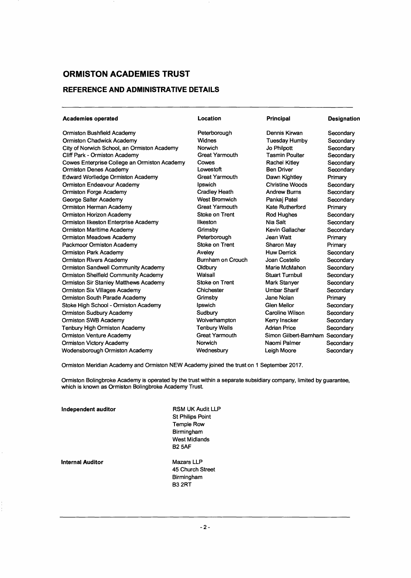#### **REFERENCE AND ADMINISTRATIVE DETAILS**

#### Academies operated **Academies** Constanting Location **Principal Designation** Designation

Ormiston Bushfield Academy Peterborough Dennis Kirwan Secondary Ormiston Chadwick Academy **Michums Widnes** Tuesday Humby Secondary<br>
City of Norwich School, an Ormiston Academy **Norwich** Jo Philpott Secondary City of Norwich School, an Ormiston Academy Morwich Jo Philpott Secondary<br>Cliff Park - Ormiston Academy Great Yarmouth Tasmin Poulter Secondary Cliff Park - Ormiston Academy Cowes Enterprise College an Ormiston Academy Cowes Rachel Kitley Secondary<br>Comiston Denes Academy Lowestoft Ben Driver Secondary **Ormiston Denes Academy** Edward Worlledge Ormiston Academy Great Yarmouth Dawn Kightley Primary Ormiston Endeavour Academy **Inswich Christine Woods Secondary**<br>
Cradley Heath Cradrew Burns Secondary<br>
Cradley Heath Andrew Burns Secondary Ormiston Forge Academy Cradley Heath Andrew Burns Secondary George Salter Academy **Secondary Example Secondary** West Bromwich **Pankaj Patel Secondary Secondary**<br>
Creat Yarmouth **Secondary Communist Communist Communist Communist Communist Communist Communist Communist Commun** Ormiston Herman Academy Great Yarmouth Kate Rutherford Primary Ormiston Horizon Academy **Stoke on Trent** Rod Hughes Secondary Ormiston IIkeston Enterprise Academy **IIKeston Nigger Secondary Nigger Secondary IIKeston** Nigger Nigger Secondary Ormiston Maritime Academy **Grimsby** Grimsby **Grimsby** Kevin Gallacher Secondary Ormiston Meadows Academy Peterborough Jean Watt Primary Packmoor Ormiston Academy **Stoke on Trent** Sharon May Primary Ormiston Park Academy **Aveley Aveley Huw Derrick Secondary** Secondary Ormiston Rivers Academy Burnham on Crouch Joan Costello Secondary Ormiston Sandwell Community Academy **Oldbury Community Academy** Oldbury Marie McMahon Secondary Ormiston Shelfield Community Academy **Malsall** Walsall Stuart Turnbull Secondary<br>
Ormiston Sir Stanley Matthews Academy Stoke on Trent Mark Stanyer Secondary Ormiston Sir Stanley Matthews Academy Stoke on Trent Mark Stanyer Secondary<br>
Chichester Chichester Umbar Sharif Secondary Ormiston Six Villages Academy Chichester Umbar Sharif Secondary Ormiston South Parade Academy Grimsby Jane Nolan Primary Stoke High School - Ormiston Academy **Inswich Clean Mellor** Glen Mellor<br>
Ormiston Sudbury Academy **Instant Clean Clean Clean Clean Clean Clean Clean Clean Clean Clean Clean Clean Clea** Ormiston Sudbury Academy **Sudbury Sudbury Caroline Wilson** Secondary Ormiston SWB Academy Wolverhampton Kerry Inscker Secondary Tenbury High Ormiston Academy **Tenbury Wells** Adrian Price Secondary Ormiston Venture Academy Great Yarmouth Simon Gilbert-Barnham Secondary Ormiston Victory Academy **Norwich National Secondary** Naomi Palmer Secondary Wodensborough Ormiston Academy Wednesbury Leigh Moore Secondary

Ormiston Meridian Academy and Ormiston NEW Academy joined the trust on 1 September 2017.

Ormiston Bolingbroke Academy is operated by the trust within a separate subsidiary company, limited by guarantee, which is known as Ormiston Bolingbroke Academy Trust.

| Independent auditor | <b>RSM UK Audit LLP</b> |
|---------------------|-------------------------|
|                     | <b>St Philips Point</b> |
|                     | <b>Temple Row</b>       |
|                     | Birmingham              |
|                     | West Midlands           |
|                     | <b>B2 5AF</b>           |
| Internal Auditor    | <b>Mazars LLP</b>       |
|                     | 45 Church Street        |
|                     | Birmingham              |
|                     | B3 2RT                  |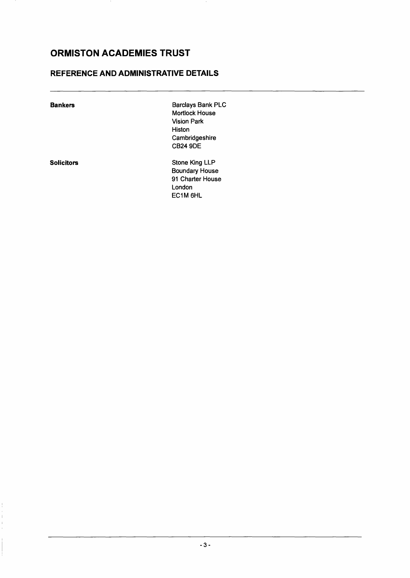$\frac{1}{\epsilon}$  $\frac{1}{1}$  $\overline{\mathbf{I}}$ 

### **REFERENCE AND ADMINISTRATIVE DETAILS**

| <b>Bankers</b> | <b>Barclays Bank PLC</b> |  |
|----------------|--------------------------|--|
|                | <b>Mortlock House</b>    |  |
|                | <b>Vision Park</b>       |  |
|                | Histon                   |  |
|                | Cambridgeshire           |  |
|                | <b>CB24 9DE</b>          |  |
| Solicitors     | Stone King LLP           |  |
|                | <b>Boundary House</b>    |  |
|                | 91 Charter House         |  |
|                | London                   |  |
|                |                          |  |

EC1M 6HL

- 3-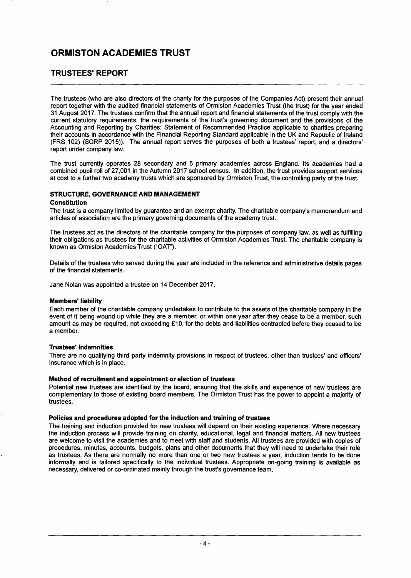### **TRUSTEES' REPORT**

The trustees (who are also directors of the charity for the purposes of the Companies Act) present their annual report together with the audited financial statements of Ormiston Academies Trust (the trust) for the year ended 31 August 2017. The trustees confirm that the annual report and financial statements of the trust comply with the current statutory requirements, the requirements of the trust's governing document and the provisions of the Accounting and Reporting by Charities: Statement of Recommended Practice applicable to charities preparing their accounts in accordance with the Financial Reporting Standard applicable in the UK and Republic of Ireland (FRS 102) (SORP 2015». The annual report serves the purposes of both a trustees' report, and a directors' report under company law.

The trust currently operates 28 secondary and 5 primary academies across England. Its academies had a combined pupil roll of 27,001 in the Autumn 2017 school census. In addition, the trust provides support services at cost to a further two academy trusts which are sponsored by Ormiston Trust, the controlling party of the trust.

#### **STRUCTURE, GOVERNANCE AND MANAGEMENT**

#### **Constitution**

The trust is a company limited by guarantee and an exempt charity. The charitable company's memorandum and articles of association are the primary governing documents of the academy trust.

The trustees act as the directors of the charitable company for the purposes of company law, as well as fulfilling their obligations as trustees for the charitable activities of Ormiston Academies Trust. The charitable company is known as Ormiston Academies Trust ("OAT").

Details of the trustees who served during the year are included in the reference and administrative details pages of the financial statements.

Jane Nolan was appointed a trustee on 14 December 2017.

#### **Members' liability**

Each member of the charitable company undertakes to contribute to the assets of the charitable company in the event of it being wound up while they are a member, or within one year after they cease to be a member, such amount as may be required, not exceeding £10, for the debts and liabilities contracted before they ceased to be a member.

#### **Trustees' indemnities**

There are no qualifying third party indemnity provisions in respect of trustees, other than trustees' and officers' insurance which is in place.

#### **Method of recruitment and appointment or election of trustees**

Potential new trustees are identified by the board, ensuring that the skills and experience of new trustees are complementary to those of existing board members. The Ormiston Trust has the power to appoint a majority of trustees.

#### **Policies and procedures adopted for the induction and training of trustees**

The training and induction provided for new trustees will depend on their existing experience. Where necessary the induction process will provide training on charity, educational, legal and financial matters. All new trustees are welcome to visit the academies and to meet with staff and students. All trustees are provided with copies of procedures, minutes, accounts, budgets, plans and other documents that they will need to undertake their role as trustees. As there are normally no more than one or two new trustees a year, induction tends to be done informally and is tailored specifically to the individual trustees. Appropriate on-going training is available as necessary, delivered or co-ordinated mainly through the trust's governance team.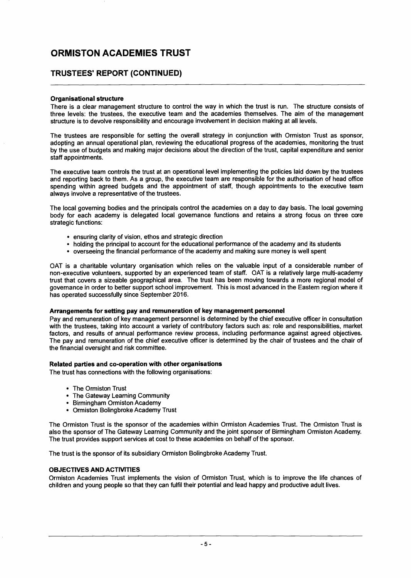### **TRUSTEES' REPORT (CONTINUED)**

#### **Organisational structure**

There is a clear management structure to control the way in which the trust is run. The structure consists of three levels: the trustees, the executive team and the academies themselves. The aim of the management structure is to devolve responsibility and encourage involvement in decision making at all levels.

The trustees are responsible for setting the overall strategy in conjunction with Ormiston Trust as sponsor, adopting an annual operational plan, reviewing the educational progress of the academies, monitoring the trust by the use of budgets and making major decisions about the direction of the trust, capital expenditure and senior staff appointments.

The executive team controls the trust at an operational level implementing the policies laid down by the trustees and reporting back to them. As a group, the executive team are responsible for the authorisation of head office spending within agreed budgets and the appointment of staff, though appointments to the executive team always involve a representative of the trustees.

The local governing bodies and the principals control the academies on a day to day basis. The local governing body for each academy is delegated local governance functions and retains a strong focus on three core strategic functions:

- ensuring clarity of vision, ethos and strategic direction
- holding the principal to account for the educational performance of the academy and its students
- overseeing the financial performance of the academy and making sure money is well spent

OAT is a charitable voluntary organisation which relies on the valuable input of a considerable number of non-executive volunteers, supported by an experienced team of staff. OAT is a relatively large multi-academy trust that covers a sizeable geographical area. The trust has been moving towards a more regional model of governance in order to better support school improvement. This is most advanced in the Eastern region where it has operated successfully since September 2016.

#### **Arrangements for setting pay and remuneration of key management personnel**

Pay and remuneration of key management personnel is determined by the chief executive officer in consultation with the trustees, taking into account a variety of contributory factors such as: role and responsibilities, market factors, and results of annual performance review process, including performance against agreed objectives. The pay and remuneration of the chief executive officer is determined by the chair of trustees and the chair of the financial oversight and risk committee.

#### **Related parties and co-operation with other organisations**

The trust has connections with the following organisations:

- The Ormiston Trust
- The Gateway Learning Community
- Birmingham Ormiston Academy
- Ormiston Bolingbroke Academy Trust

The Ormiston Trust is the sponsor of the academies within Ormiston Academies Trust. The Ormiston Trust is also the sponsor of The Gateway Learning Community and the joint sponsor of Birmingham Ormiston Academy. The trust provides support services at cost to these academies on behalf of the sponsor.

The trust is the sponsor of its subsidiary Ormiston Bolingbroke Academy Trust.

#### **OBJECTIVES AND ACTIVITIES**

Ormiston Academies Trust implements the vision of Ormiston Trust, which is to improve the life chances of children and young people so that they can fulfil their potential and lead happy and productive adult lives.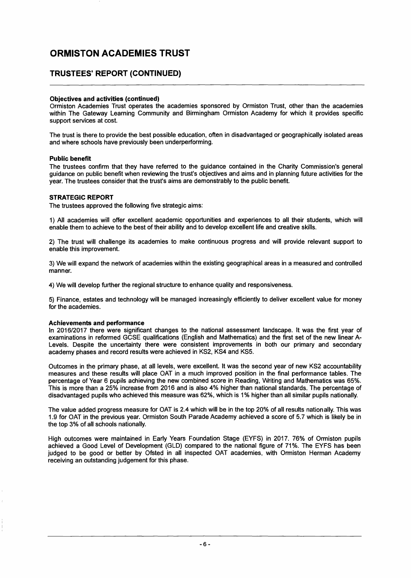### **TRUSTEES' REPORT (CONTINUED)**

#### **Objectives and activities (continued)**

Ormiston Academies Trust operates the academies sponsored by Ormiston Trust, other than the academ ies within The Gateway Learning Community and Birmingham Ormiston Academy for which it provides specific support services at cost.

The trust is there to provide the best possible education, often in disadvantaged or geographically isolated areas and where schools have previously been underperforming.

#### **Public benefit**

The trustees confirm that they have referred to the guidance contained in the Charity Commission's general guidance on public benefit when reviewing the trust's objectives and aims and in planning future activities for the year. The trustees consider that the trust's aims are demonstrably to the public benefit.

#### **STRATEGIC REPORT**

The trustees approved the following five strategic aims:

1) All academies will offer excellent academic opportunities and experiences to all their students, which will enable them to achieve to the best of their ability and to develop excellent life and creative skills.

2) The trust will challenge its academies to make continuous progress and will provide relevant support to enable this improvement.

3) We will expand the network of academies within the existing geographical areas in a measured and controlled manner.

4) We will develop further the regional structure to enhance quality and responsiveness.

5) Finance, estates and technology will be managed increasingly efficiently to deliver excellent value for money for the academies.

#### **Achievements and peñormance**

In 2016/2017 there were significant changes to the national assessment landscape. It was the first year of examinations in reformed GCSE qualifications (English and Mathematics) and the first set of the new linear A-Levels. Despite the uncertainty there were consistent improvements in both our primary and secondary academy phases and record results were achieved in KS2, KS4 and KS5.

Outcomes in the primary phase, at all levels, were excellent. It was the second year of new KS2 accountability measures and these results will place OAT in a much improved position in the final performance tables. The percentage of Year 6 pupils achieving the new combined score in Reading, Writing and Mathematics was 65%. This is more than a 25% increase from 2016 and is also 4% higher than national standards. The percentage of disadvantaged pupils who achieved this measure was 62%, which is 1% higher than all similar pupils nationally.

The value added progress measure for OAT is 2.4 which will be in the top 20% of all results nationally. This was 1.9 for OAT in the previous year. Ormiston South Parade Academy achieved a score of 5.7 which is likely be in the top 3% of all schools nationally.

High outcomes were maintained in Early Years Foundation Stage (EYFS) in 2017. 76% of Ormiston pupils achieved a Good Level of Development (GLD) compared to the national figure of 71 %. The EYFS has been judged to be good or better by Ofsted in all inspected OAT academies, with Ormiston Herman Academy receiving an outstanding judgement for this phase.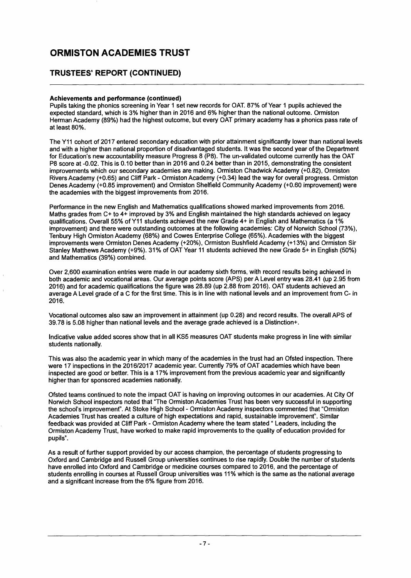### **TRUSTEES' REPORT (CONTINUED)**

#### **Achievements and performance (continued)**

Pupils taking the phonics screening in Year 1 set new records for OAT. 87% of Year 1 pupils achieved the expected standard, which is 3% higher than in 2016 and 6% higher than the national outcome. Ormiston Herman Academy (89%) had the highest outcome, but every OAT primary academy has a phonics pass rate of at least 80%.

The Y11 cohort of 2017 entered secondary education with prior attainment significantly lower than national levels and with a higher than national proportion of disadvantaged students. It was the second year of the Department for Education's new accountability measure Progress 8 (P8). The un-validated outcome currently has the OAT P8 score at -0.02. This is 0.10 better than in 2016 and 0.24 better than in 2015, demonstrating the consistent improvements which our secondary academies are making. Ormiston Chadwick Academy (+0.82), Ormiston Rivers Academy (+0.65) and Cliff Park - Ormiston Academy (+0.34) lead the way for overall progress. Ormiston Denes Academy (+0.85 improvement) and Ormiston Shelfield Community Academy (+0.60 improvement) were the academies with the biggest improvements from 2016.

Performance in the new English and Mathematics qualifications showed marked improvements from 2016. Maths grades from C+ to 4+ improved by 3% and English maintained the high standards achieved on legacy qualifications. Overall 55% of Y11 students achieved the new Grade 4+ in English and Mathematics (a 1 % improvement) and there were outstanding outcomes at the following academies: City of Norwich School (73%), Tenbury High Ormiston Academy (68%) and Cowes Enterprise College (65%). Academies with the biggest improvements were Ormiston Denes Academy (+20%), Ormiston Bushfield Academy (+13%) and Ormiston Sir Stanley Matthews Academy (+9%).31% of OAT Year 11 students achieved the new Grade 5+ in English (50%) and Mathematics (39%) combined.

Over 2,600 examination entries were made in our academy sixth forms, with record results being achieved in both academic and vocational areas. Our average points score (APS) per A Level entry was 28.41 (up 2.95 from 2016) and for academic qualifications the figure was 28.89 (up 2.88 from 2016). OAT students achieved an average A Level grade of a C for the first time. This is in line with national levels and an improvement from C- in 2016.

Vocational outcomes also saw an improvement in attainment (up 0.28) and record results. The overall APS of 39.78 is 5.08 higher than national levels and the average grade achieved is a Distinction+.

Indicative value added scores show that in all KS5 measures OAT students make progress in line with similar students nationally.

This was also the academic year in which many of the academies in the trust had an Ofsted inspection. There were 17 inspections in the 2016/2017 academic year. Currently 79% of OAT academies which have been inspected are good or better. This is a 17% improvement from the previous academic year and significantly higher than for sponsored academies nationally.

Ofsted teams continued to note the impact OAT is having on improving outcomes in our academies. At City Of Norwich School inspectors noted that ''The Ormiston Academies Trust has been very successful in supporting the school's improvement". At Stoke High School- Ormiston Academy inspectors commented that "Ormiston Academies Trust has created a culture of high expectations and rapid, sustainable improvement". Similar feedback was provided at Cliff Park - Ormiston Academy where the team stated" Leaders, including the Ormiston Academy Trust, have worked to make rapid improvements to the quality of education provided for pupils".

As a result of further support provided by our access champion, the percentage of students progressing to Oxford and Cambridge and Russell Group universities continues to rise rapidly. Double the number of students have enrolled into Oxford and Cambridge or medicine courses compared to 2016, and the percentage of students enrolling in courses at Russell Group universities was 11 % which is the same as the national average and a significant increase from the 6% figure from 2016.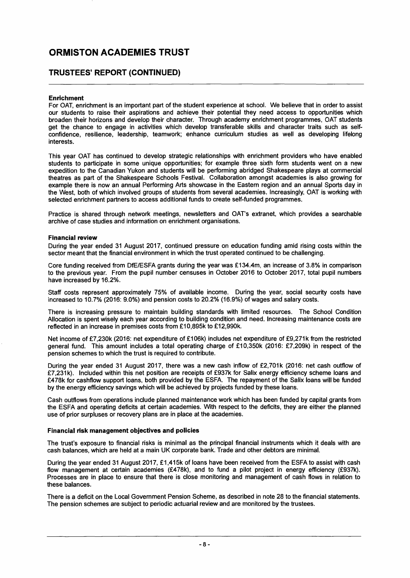### **TRUSTEES' REPORT (CONTINUED)**

#### **Enrichment**

For OAT, enrichment is an important part of the student experience at school. We believe that in order to assist our students to raise their aspirations and achieve their potential they need access to opportunities which broaden their horizons and develop their character. Through academy enrichment programmes, OAT students get the chance to engage in activities which develop transferable skills and character traits such as selfconfidence, resilience, leadership, teamwork; enhance curriculum studies as well as developing lifelong interests.

This year OAT has continued to develop strategic relationships with enrichment providers who have enabled students to participate in some unique opportunities; for example three sixth form students went on a new expedition to the Canadian Yukon and students will be performing abridged Shakespeare plays at commercial theatres as part of the Shakespeare Schools Festival. Collaboration amongst academies is also growing for example there is now an annual Performing Arts showcase in the Eastern region and an annual Sports day in the West, both of which involved groups of students from several academies. Increasingly, OAT is working with selected enrichment partners to access additional funds to create self-funded programmes.

Practice is shared through network meetings, newsletters and OAT's extranet, which provides a searchable archive of case studies and information on enrichment organisations.

#### **Financial review**

During the year ended 31 August 2017, continued pressure on education funding amid rising costs within the sector meant that the financial environment in which the trust operated continued to be challenging.

Core funding received from DfE/ESFA grants during the year was £134.4m, an increase of 3.8% in comparison to the previous year. From the pupil number censuses in October 2016 to October 2017, total pupil numbers have increased by 16.2%.

Staff costs represent approximately 75% of available income. During the year, social security costs have increased to 10.7% (2016: 9.0%) and pension costs to 20.2% (16.9%) of wages and salary costs.

There is increasing pressure to maintain building standards with limited resources. The School Condition Allocation is spent wisely each year according to building condition and need. Increasing maintenance costs are reflected in an increase in premises costs from £1 0,895k to £12,990k.

Net income of £7,230k (2016: net expenditure of £106k) includes net expenditure of £9,271k from the restricted general fund. This amount includes a total operating charge of £10,350k (2016: £7,209k) in respect of the pension schemes to which the trust is required to contribute.

During the year ended 31 August 2017, there was a new cash inflow of £2,701k (2016: net cash outflow of £7,231k). Included within this net position are receipts of £937k for Salix energy efficiency scheme loans and £478k for cashflow support loans, both provided by the ESFA. The repayment of the Salix loans will be funded by the energy efficiency savings which will be achieved by projects funded by these loans.

Cash outflows from operations include planned maintenance work which has been funded by capital grants from the ESFA and operating deficits at certain academies. With respect to the deficits, they are either the planned use of prior surpluses or recovery plans are in place at the academies.

#### **Financial risk management objectives and policies**

The trust's exposure to financial risks is minimal as the principal financial instruments which it deals with are cash balances, which are held at a main UK corporate bank. Trade and other debtors are minimal.

During the year ended 31 August 2017, £1 ,415k of loans have been received from the ESFA to assist with cash flow management at certain academies (£478k), and to fund a pilot project in energy efficiency (£937k). Processes are in place to ensure that there is close monitoring and management of cash flows in relation to these balances.

There is a deficit on the Local Government Pension Scheme, as described in note 28 to the financial statements. The pension schemes are subject to periodic actuarial review and are monitored by the trustees.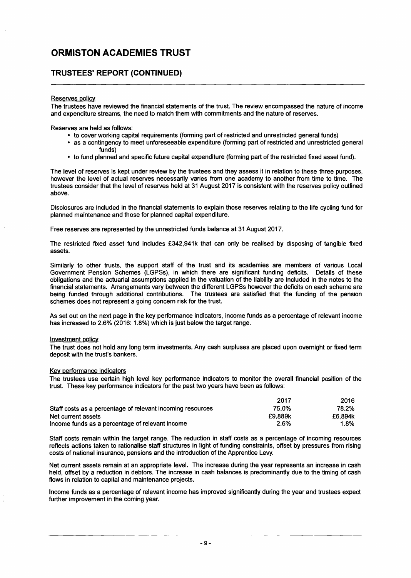### **TRUSTEES' REPORT (CONTINUED)**

#### Reserves policy

The trustees have reviewed the financial statements of the trust. The review encompassed the nature of income and expenditure streams, the need to match them with commitments and the nature of reserves.

Reserves are held as follows:

- to cover working capital requirements (forming part of restricted and unrestricted general funds)
- as a contingency to meet unforeseeable expenditure (forming part of restricted and unrestricted general funds)
- to fund planned and specific future capital expenditure (forming part of the restricted fixed asset fund).

The level of reserves is kept under review by the trustees and they assess it in relation to these three purposes, however the level of actual reserves necessarily varies from one academy to another from time to time. The trustees consider that the level of reserves held at 31 August 2017 is consistent with the reserves policy outlined above.

Disclosures are included in the financial statements to explain those reserves relating to the life cycling fund for planned maintenance and those for planned capital expenditure.

Free reserves are represented by the unrestricted funds balance at 31 August 2017.

The restricted fixed asset fund includes £342,941k that can only be realised by disposing of tangible fixed assets.

Similarly to other trusts, the support staff of the trust and its academies are members of various Local Government Pension Schemes (LGPSs), in which there are significant funding deficits. Details of these obligations and the actuarial assumptions applied in the valuation of the liability are included in the notes to the financial statements. Arrangements vary between the different LGPSs however the deficits on each scheme are being funded through additional contributions. The trustees are satisfied that the funding of the pension schemes does not represent a going concern risk for the trust.

As set out on the next page in the key performance indicators, income funds as a percentage of relevant income has increased to 2.6% (2016: 1.8%) which is just below the target range.

#### Investment policy

The trust does not hold any long term investments. Any cash surpluses are placed upon overnight or fixed term deposit with the trust's bankers.

#### Key performance indicators

The trustees use certain high level key performance indicators to monitor the overall financial position of the trust. These key performance indicators for the past two years have been as follows:

|                                                            | 2017    | 2016    |
|------------------------------------------------------------|---------|---------|
| Staff costs as a percentage of relevant incoming resources | 75.0%   | 78.2%   |
| Net current assets                                         | £9.889k | £6.894k |
| Income funds as a percentage of relevant income            | 2.6%    | $1.8\%$ |

Staff costs remain within the target range. The reduction in staff costs as a percentage of incoming resources reflects actions taken to rationalise staff structures in light of funding constraints, offset by pressures from rising costs of national insurance, pensions and the introduction of the Apprentice Levy.

Net current assets remain at an appropriate level. The increase during the year represents an increase in cash held, offset by a reduction in debtors. The increase in cash balances is predominantly due to the timing of cash flows in relation to capital and maintenance projects.

Income funds as a percentage of relevant income has improved significantly during the year and trustees expect further improvement in the coming year.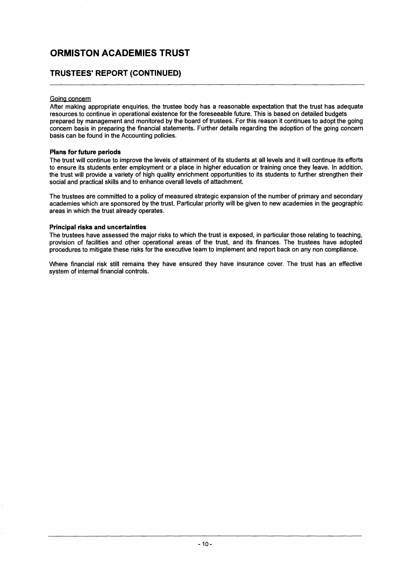### **TRUSTEES' REPORT (CONTINUED)**

#### Going concern

After making appropriate enquiries, the trustee body has a reasonable expectation that the trust has adequate resources to continue in operational existence for the foreseeable future. This is based on detailed budgets prepared by management and monitored by the board of trustees. For this reason it continues to adopt the going concern basis in preparing the financial statements. Further details regarding the adoption of the going concern basis can be found in the Accounting policies.

#### **Plans for future periods**

The trust will continue to improve the levels of attainment of its students at all levels and it will continue its efforts to ensure its students enter employment or a place in higher education or training once they leave. In addition, the trust will provide a variety of high quality enrichment opportunities to its students to further strengthen their social and practical skills and to enhance overall levels of attachment.

The trustees are committed to a policy of measured strategic expansion of the number of primary a nd secondary academies which are sponsored by the trust. Particular priority will be given to new academies in the geographic areas in which the trust already operates.

#### **Principal risks and uncertainties**

The trustees have assessed the major risks to which the trust is exposed, in particular those relating to teaching, provision of facilities and other operational areas of the trust, and its finances. The trustees have adopted procedures to mitigate these risks for the executive team to implement and report back on any non compliance.

Where financial risk still remains they have ensured they have insurance cover. The trust has an effective system of internal financial controls.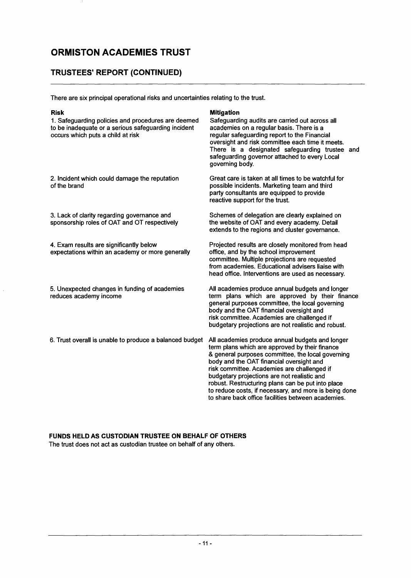### **TRUSTEES' REPORT (CONTINUED)**

There are six principal operational risks and uncertainties relating to the trust.

| <b>Risk</b><br>1. Safeguarding policies and procedures are deemed<br>to be inadequate or a serious safeguarding incident<br>occurs which puts a child at risk | <b>Mitigation</b><br>Safeguarding audits are carried out across all<br>academies on a regular basis. There is a<br>regular safeguarding report to the Financial<br>oversight and risk committee each time it meets.<br>There is a designated safeguarding trustee and<br>safeguarding governor attached to every Local<br>governing body.                                                                                                                            |
|---------------------------------------------------------------------------------------------------------------------------------------------------------------|----------------------------------------------------------------------------------------------------------------------------------------------------------------------------------------------------------------------------------------------------------------------------------------------------------------------------------------------------------------------------------------------------------------------------------------------------------------------|
| 2. Incident which could damage the reputation<br>of the brand                                                                                                 | Great care is taken at all times to be watchful for<br>possible incidents. Marketing team and third<br>party consultants are equipped to provide<br>reactive support for the trust.                                                                                                                                                                                                                                                                                  |
| 3. Lack of clarity regarding governance and<br>sponsorship roles of OAT and OT respectively                                                                   | Schemes of delegation are clearly explained on<br>the website of OAT and every academy. Detail<br>extends to the regions and cluster governance.                                                                                                                                                                                                                                                                                                                     |
| 4. Exam results are significantly below<br>expectations within an academy or more generally                                                                   | Projected results are closely monitored from head<br>office, and by the school improvement<br>committee. Multiple projections are requested<br>from academies. Educational advisers liaise with<br>head office. Interventions are used as necessary.                                                                                                                                                                                                                 |
| 5. Unexpected changes in funding of academies<br>reduces academy income                                                                                       | All academies produce annual budgets and longer<br>term plans which are approved by their finance<br>general purposes committee, the local governing<br>body and the OAT financial oversight and<br>risk committee. Academies are challenged if<br>budgetary projections are not realistic and robust.                                                                                                                                                               |
| 6. Trust overall is unable to produce a balanced budget                                                                                                       | All academies produce annual budgets and longer<br>term plans which are approved by their finance<br>& general purposes committee, the local governing<br>body and the OAT financial oversight and<br>risk committee. Academies are challenged if<br>budgetary projections are not realistic and<br>robust. Restructuring plans can be put into place<br>to reduce costs, if necessary, and more is being done<br>to share back office facilities between academies. |

**FUNDS HELD AS CUSTODIAN TRUSTEE ON BEHALF OF OTHERS**  The trust does not act as custodian trustee on behalf of any others.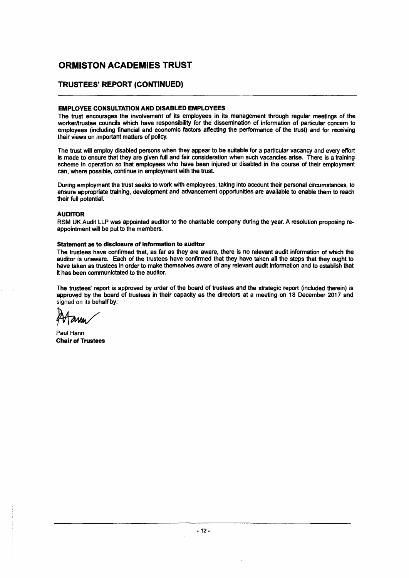#### TRUSTEES· REPORT (CONTINUED)

#### EMPLOYEE CONSULTATION AND DISABLED EMPLOYEES

The trust encourages the involvement of its employees in its management through regular meetings of the worker/trustee councils which have responsibility for the dissemination of information of particular concern to employees (including financial and economic factors affecting the performance of the trust) and for receiving their views on important matters of policy.

The trust will employ disabled persons when they appear to be suitable for a particular vacancy and every effort is made to ensure that they are given full and fair consideration when such vacancies arise. There is a training scheme in operation so that employees who have been injured or disabled in the course of their employment ean, where possible, continue in employment with the trust.

During employment the trust seeks to work with employees, taking into account their personal circumstances, to ensure appropriate training, development and advancement opportunities are available to enable them to reach their full potential.

#### AUDITOR

RSM UK Audit LLP was appointed auditor to the charitable company during the year. A resolution proposing reappointment will be put to the members.

#### Statement as to disclosure of Information to auditor

The trustees have confirmed that, as far as they are aware, there is no relevant audit information of which the auditor is unaware. Each of the trustees have confirmed that they have taken all the steps that they ought to have taken as trustees in order to make themselves aware of any relevant audit information and to establish that it has been communictated to the auditor.

The trustees' report is approved by order of the board of trustees and the strategic report (ineluded therein) is approved by the board of trustees in their capacity as the directors at a meeting on 18 December 2017 and signed on its behalf by:

Mm. 7 v

Paul Hann Chair of Trustees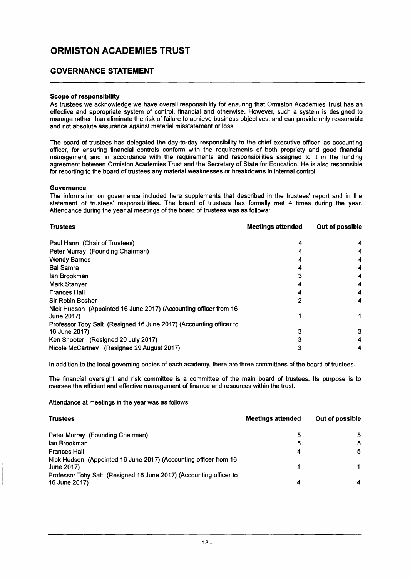### **GOVERNANCE STATEMENT**

#### **Scope of responsibility**

As trustees we acknowledge we have overall responsibility for ensuring that Ormiston Academies Trust has an effective and appropriate system of control, financial and otherwise. However, such a system is designed to manage rather than eliminate the risk of failure to achieve business objectives, and can provide only reasonable and not absolute assurance against material misstatement or loss.

The board of trustees has delegated the day-to-day responsibility to the chief executive officer, as accounting officer, for ensuring financial controls conform with the requirements of both propriety and good financial management and in accordance with the requirements and responsibilities assigned to it in the funding agreement between Ormiston Academies Trust and the Secretary of State for Education. He is also responsible for reporting to the board of trustees any material weaknesses or breakdowns in internal control.

#### **Governance**

The information on governance included here supplements that described in the trustees' report and in the statement of trustees' responsibilities. The board of trustees has formally met 4 times during the year. Attendance during the year at meetings of the board of trustees was as follows:

| <b>Trustees</b>                                                    | <b>Meetings attended</b> | Out of possible |
|--------------------------------------------------------------------|--------------------------|-----------------|
| Paul Hann (Chair of Trustees)                                      | 4                        | 4               |
| Peter Murray (Founding Chairman)                                   |                          | 4               |
| <b>Wendy Barnes</b>                                                |                          | 4               |
| <b>Bal Samra</b>                                                   |                          | 4               |
| lan Brookman                                                       |                          | 4               |
| <b>Mark Stanver</b>                                                |                          | 4               |
| <b>Frances Hall</b>                                                | 4                        | 4               |
| <b>Sir Robin Bosher</b>                                            | 2                        | 4               |
| Nick Hudson (Appointed 16 June 2017) (Accounting officer from 16   |                          |                 |
| June 2017)                                                         |                          |                 |
| Professor Toby Salt (Resigned 16 June 2017) (Accounting officer to |                          |                 |
| 16 June 2017)                                                      | 3                        |                 |
| Ken Shooter (Resigned 20 July 2017)                                |                          |                 |
| Nicole McCartney (Resigned 29 August 2017)                         |                          |                 |

In addition to the local governing bodies of each academy, there are three committees of the board of trustees.

The financial oversight and risk committee is a committee of the main board of trustees. Its purpose is to oversee the efficient and effective management of finance and resources within the trust.

Attendance at meetings in the year was as follows:

| <b>Trustees</b>                                                                     | <b>Meetings attended</b> | Out of possible |
|-------------------------------------------------------------------------------------|--------------------------|-----------------|
| Peter Murray (Founding Chairman)                                                    | 5                        | 5               |
| Ian Brookman                                                                        | 5                        | 5               |
| <b>Frances Hall</b>                                                                 | 4                        | 5               |
| Nick Hudson (Appointed 16 June 2017) (Accounting officer from 16<br>June 2017)      |                          |                 |
| Professor Toby Salt (Resigned 16 June 2017) (Accounting officer to<br>16 June 2017) | 4                        |                 |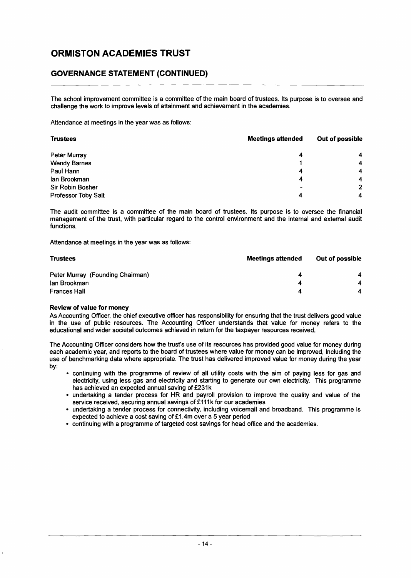### **GOVERNANCE STATEMENT (CONTINUED)**

The school improvement committee is a committee of the main board of trustees. Its purpose is to oversee and challenge the work to improve levels of attainment and achievement in the academies.

Attendance at meetings in the year was as follows:

| <b>Trustees</b>            | <b>Meetings attended</b> | Out of possible |
|----------------------------|--------------------------|-----------------|
| Peter Murray               | 4                        |                 |
| <b>Wendy Barnes</b>        |                          | 4               |
| Paul Hann                  | 4                        | 4               |
| lan Brookman               | 4                        | 4               |
| <b>Sir Robin Bosher</b>    | $\overline{\phantom{0}}$ | $\overline{2}$  |
| <b>Professor Toby Salt</b> | 4                        |                 |

The audit committee is a committee of the main board of trustees. Its purpose is to oversee the financial management of the trust, with particular regard to the control environment and the internal and external audit functions.

Attendance at meetings in the year was as follows:

| <b>Trustees</b>                  | <b>Meetings attended</b> | Out of possible |
|----------------------------------|--------------------------|-----------------|
| Peter Murray (Founding Chairman) |                          |                 |
| lan Brookman                     |                          |                 |
| <b>Frances Hall</b>              |                          |                 |

#### Review of value for money

As Accounting Officer, the chief executive officer has responsibility for ensuring that the trust delivers good value in the use of public resources. The Accounting Officer understands that value for money refers to the educational and wider societal outcomes achieved in return for the taxpayer resources received.

The Accounting Officer considers how the trust's use of its resources has provided good value for money during each academic year, and reports to the board of trustees where value for money can be improved, including the use of benchmarking data where appropriate. The trust has delivered improved value for money during the year by:

- continuing with the programme of review of all utility costs with the aim of paying less for gas and electricity, using less gas and electricity and starting to generate our own electricity. This programme has achieved an expected annual saving of £231k
- undertaking a tender process for HR and payroll provision to improve the quality and value of the service received, securing annual savings of £111k for our academies
- undertaking a tender process for connectivity, including voicemail and broadband. This programme is expected to achieve a cost saving of £1.4m over a 5 year period
- continuing with a programme of targeted cost savings for head office and the academies.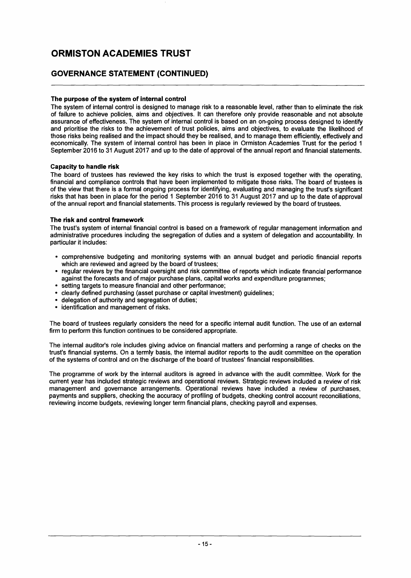### **GOVERNANCE STATEMENT (CONTINUED)**

#### **The purpose of the system of internal control**

The system of internal control is designed to manage risk to a reasonable level, rather than to eliminate the risk of failure to achieve policies, aims and objectives. It can therefore only provide reasonable and not absolute assurance of effectiveness. The system of internal control is based on an on-going process designed to identify and prioritise the risks to the achievement of trust policies, aims and objectives, to evaluate the likelihood of those risks being realised and the impact should they be realised, and to manage them efficiently, effectively and economically. The system of internal control has been in place in Ormiston Academies Trust for the period 1 September 2016 to 31 August 2017 and up to the date of approval of the annual report and financial statements.

#### **Capacity to handle risk**

The board of trustees has reviewed the key risks to which the trust is exposed together with the operating, financial and compliance controls that have been implemented to mitigate those risks. The board of trustees is of the view that there is a formal ongoing process for identifying, evaluating and managing the trust's significant risks that has been in place for the period 1 September 2016 to 31 August 2017 and up to the date of approval of the annual report and financial statements. This process is regularly reviewed by the board of trustees.

#### **The risk and control framework**

The trust's system of internal financial control is based on a framework of regular management information and administrative procedures including the segregation of duties and a system of delegation and accountability. In particular it includes:

- comprehensive budgeting and monitoring systems with an annual budget and periodic financial reports which are reviewed and agreed by the board of trustees;
- regular reviews by the financial oversight and risk committee of reports which indicate financial performance against the forecasts and of major purchase plans, capital works and expenditure programmes;
- setting targets to measure financial and other performance;
- clearly defined purchasing (asset purchase or capital investment) guidelines;
- delegation of authority and segregation of duties;
- identification and management of risks.

The board of trustees regularly considers the need for a specific internal audit function. The use of an external firm to perform this function continues to be considered appropriate.

The internal auditor's role includes giving advice on financial matters and performing a range of checks on the trust's financial systems. On a termly basis, the internal auditor reports to the audit committee on the operation of the systems of control and on the discharge of the board of trustees' financial responsibilities.

The programme of work by the internal auditors is agreed in advance with the audit committee. Work for the current year has included strategic reviews and operational reviews. Strategic reviews included a review of risk management and governance arrangements. Operational reviews have included a review of purchases, payments and suppliers, checking the accuracy of profiling of budgets, checking control account reconciliations, reviewing income budgets, reviewing longer term financial plans, checking payroll and expenses.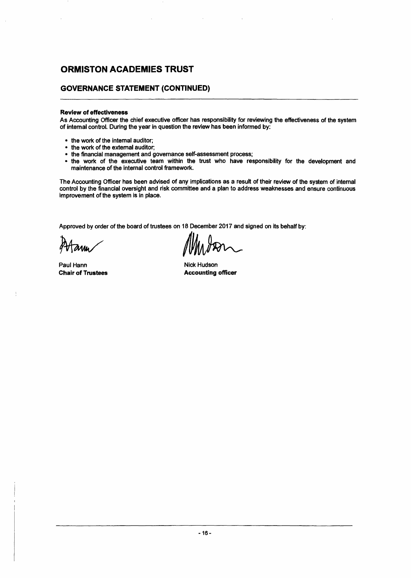#### **GOVERNANCE STATEMENT (CONTINUED)**

#### **Review of effectiveness**

As Accounting Officer the chief executive officer has responsibility for reviewing the effectiveness of the system of internal control. During the year in question the review has been informed by:

- the work of the internal auditor;
- the work of the external auditor;
- the financial management and governance self-assessment process;
- the work of the executive team within the trust who have responsibility for the development and maintenance of the internal control framework.

The Accounting Officer has been advised of any implications as a result of their review of the system of internal control by the financial oversight and risk committee and a plan to address weaknesses and ensure continuous improvement of the system is in place.

Approved by order of the board of trustees on 18 December 2017 and signed on its behalf by:

A  $\int$ 

Paul Hann **Chair of Trustees** 

Nick Hudson **Accounting officer**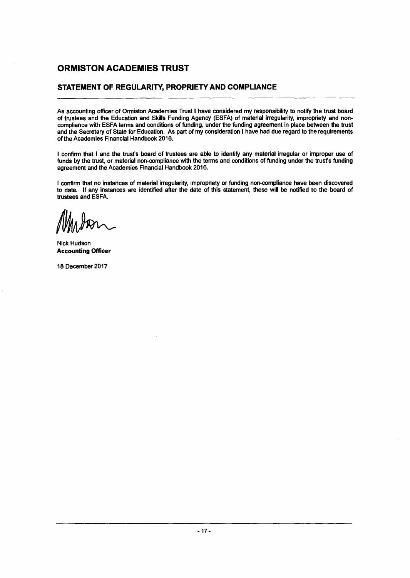#### **STATEMENT OF REGULARITY, PROPRIETY AND COMPLIANCE**

As accounting officer of Ormiston Academies Trust I have considered my responsibility to notify the trust board of trustees and the Education and Skills Funding Agency (ESFA) of material irregularity, impropriety and noncompliance with ESFA terms and conditions of funding, under the funding agreement in place between the trust and the Secretary of State for Education. As part of my consideration I have had due regard to the requirements of the Academies Financial Handbook 2016.

I confirm that I and the trust's board of trustees are able to identify any material irregular or improper use of funds by the trust, or material non-compliance with the terms and conditions of funding under the trust's funding agreement and the Academies Financial Handbook 2016.

I confirm that no instances of material irregularity, impropriety or funding non-compliance have been discovered to date. If any instances are identified after the date of this statement, these will be notified to the board of trustees and ESFA.

Nick Hudson **Accounting Officer** 

18 December 2017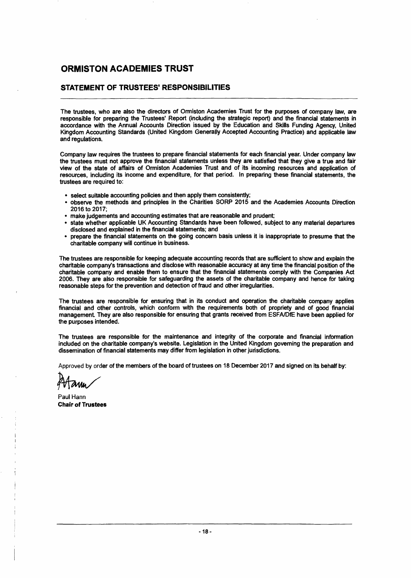#### **STATEMENT OF TRUSTEES' RESPONSIBILITIES**

The trustees, who are also the directors of Ormiston Academies Trust for the purposes of company law, are responsible for preparing the Trustees' Report (including the strategic report) and the financial statements in accordance with the Annual Accounts Direction issued by the Education and Skills Funding Agency, United Kingdom Accounting Standards (United Kingdom Generally Accepted Accounting Practice) and applicable law and regulations.

Company law requires the trustees to prepare financial statements for each financial year. Under company law the trustees must not approve the financial statements unless they are satisfied that they give a true and fair view of the state of affairs of Ormiston Academies Trust and of its incoming resources and application of resources, including its income and expenditure, for that period. In preparing these financial statements, the trustees are required to:

- select suitable accounting policies and then apply them consistently;
- observe the methods and principles in the Charities SORP 2015 and the Academies Accounts Direction 2016 to 2017;
- make judgements and accounting estimates that are reasonable and prudent;
- state whether applicable UK Accounting Standards have been followed, subject to any material departures disclosed and explained in the financial statements; and
- prepare the financial statements on the going concern basis unless it is inappropriate to presume that the charitable company will continue in business.

The trustees are responsible for keeping adequate accounting records that are sufficient to show and explain the charitable company's transactions and disclose with reasonable accuracy at any time the financial position of the charitable company and enable them to ensure that the financial statements comply with the Companies Act 2006. They are also responsible for safeguarding the assets of the charitable company and hence for taking reasonable steps for the prevention and detection of fraud and other irregularities.

The trustees are responsible for ensuring that in its conduct and operation the charitable company applies financial and other controls, which conform with the requirements both of propriety and of good financial management They are also responsible for ensuring that grants received from ESFAlDfE have been applied for the purposes intended.

The trustees are responsible for the maintenance and integrity of the corporate and financial information included on the charitable company's website. Legislation in the United Kingdom governing the preparation and dissemination of financial statements may differ from legislation in other jurisdictions.

Approved by order of the members of the board of trustees on 18 December 2017 and signed on its behalf by:

7 V

Paul Hann Chair of Trustees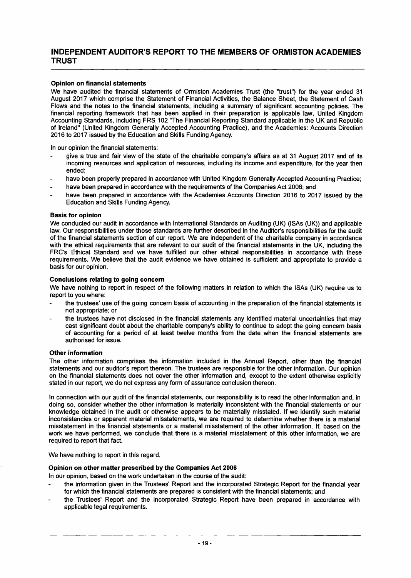#### **INDEPENDENT AUDITOR'S REPORT TO THE MEMBERS OF ORMISTON ACADEMIES TRUST**

#### **Opinion on financial statements**

We have audited the financial statements of Ormiston Academies Trust (the "trust") for the year ended 31 August 2017 which comprise the Statement of Financial Activities, the Balance Sheet, the Statement of Cash Flows and the notes to the financial statements, including a summary of significant accounting policies. The financial reporting framework that has been applied in their preparation is applicable law, United Kingdom Accounting Standards, including FRS 102 "The Financial Reporting Standard applicable in the UK and Republic of Ireland" (United Kingdom Generally Accepted Accounting Practice), and the Academies: Accounts Direction 2016 to 2017 issued by the Education and Skills Funding Agency.

In our opinion the financial statements:

- give a true and fair view of the state of the charitable company's affairs as at 31 August 2017 and of its incoming resources and application of resources, including its income and expenditure, for the year then ended;
- have been properly prepared in accordance with United Kingdom Generally Accepted Accounting Practice;
- have been prepared in accordance with the requirements of the Companies Act 2006; and
- have been prepared in accordance with the Academies Accounts Direction 2016 to 2017 issued by the Education and Skills Funding Agency.

#### **Basis for opinion**

We conducted our audit in accordance with International Standards on Auditing (UK) (ISAs (UK)) and applicable law. Our responsibilities under those standards are further described in the Auditor's responsibilities for the audit of the financial statements section of our report. We are independent of the charitable company in accordance with the ethical requirements that are relevant to our audit of the financial statements in the UK, including the FRC's Ethical Standard and we have fulfilled our other ethical responsibilities in accordance with these requirements. We believe that the audit evidence we have obtained is sufficient and appropriate to provide a basis for our opinion.

#### **Conclusions relating to going concern**

We have nothing to report in respect of the following matters in relation to which the ISAs (UK) require us to report to you where:

- the trustees' use of the going concern basis of accounting in the preparation of the financial statements is not appropriate; or
- the trustees have not disclosed in the financial statements any identified material uncertainties that may cast significant doubt about the charitable company's ability to continue to adopt the going concern basis of accounting for a period of at least twelve months from the date when the financial statements are authorised for issue.

#### **Other information**

The other information comprises the information included in the Annual Report, other than the financial statements and our auditor's report thereon. The trustees are responsible for the other information. Our opinion on the financial statements does not cover the other information and, except to the extent otherwise explicitly stated in our report, we do not express any form of assurance conclusion thereon.

In connection with our audit of the financial statements, our responsibility is to read the other information and, in doing so, consider whether the other information is materially inconsistent with the financial statements or our knowledge obtained in the audit or otherwise appears to be materially misstated. If we identify such material inconsistencies or apparent material misstatements, we are required to determine whether there is a material misstatement in the financial statements or a material misstatement of the other information. If, based on the work we have performed, we conclude that there is a material misstatement of this other information, we are required to report that fact.

We have nothing to report in this regard.

#### **Opinion on other matter prescribed by the Companies Act 2006**

In our opinion, based on the work undertaken in the course of the audit:

- the information given in the Trustees' Report and the incorporated Strategic Report for the financial year for which the financial statements are prepared is consistent with the financial statements; and
- the Trustees' Report and the incorporated Strategic Report have been prepared in accordance with applicable legal requirements.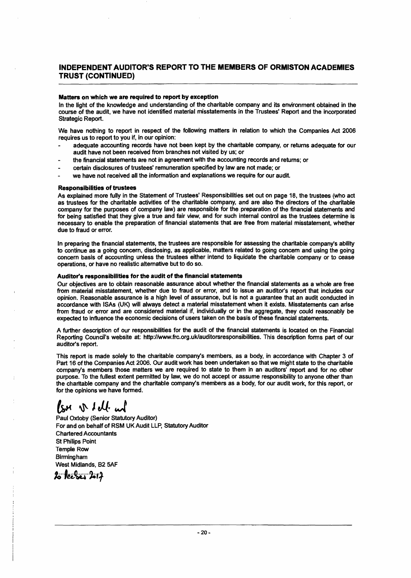#### INDEPENDENT AUDITOR'S REPORT TO THE MEMBERS OF ORMISTON ACADEMIES TRUST (CONTINUED)

#### Matters on which we are required to report by exception

In the light of the knowledge and understanding of the charitable company and its environment obtained in the course of the audit, we have not identified material misstatements in the Trustees' Report and the incorporated Strategic Report.

We have nothing to report in respect of the following matters in relation to which the Companies Act 2006 requires us to report to you if, in our opinion:

- adequate accounting records have not been kept by the charitable company, or returns adequate for our audit have not been received from branches not visited by us; or
- the financial statements are not in agreement with the accounting records and returns; or
- certain disclosures of trustees' remuneration specified by law are not made; or
- we have not received all the information and explanations we require for our audit.

#### Responsibilities of trustees

As explained more fully in the Statement of Trustees' Responsibilities set out on page 18, the trustees (who act as trustees for the charitable activities of the charitable company, and are also the directors of the charitable company for the purposes of company law) are responsible for the preparation of the financial statements and for being satisfied that they give a true and fair view, and for such internal control as the trustees determine is necessary to enable the preparation of financial statements that are free from material misstatement, whether due to fraud or error.

In preparing the financial statements, the trustees are responsible for assessing the charitable company's ability to continue as a going concern, disclosing, as applicable, matters related to going concern and using the going concern basis of accounting unless the trustees either intend to liquidate the charitable company or to cease operations, or have no realistic alternative but to do so.

#### Auditor's responsibilities for the audit of the financial statements

Our objectives are to obtain reasonable assurance about whether the financial statements as a whole are free from material misstatement, whether due to fraud or error, and to issue an auditor's report that includes our opinion. Reasonable assurance is a high level of assurance, but is not a guarantee that an audit conducted in accordance with ISAs (UK) will always detect a material misstatement when it exists. Misstatements can arise from fraud or error and are considered material if, individually or in the aggregate, they could reasonably be expected to influence the economic decisions of users taken on the basis of these financial statements.

A further description of our responsibilities for the audit of the financial statements is located on the Financial Reporting Council's website at: http://www.frc.org.uklauditorsresponsibilities.This description forms part of our auditor's report.

This report is made solely to the charitable company's members, as a body, in accordance with Chapter 3 of Part 16 of the Companies Act 2006. Our audit work has been undertaken so that we might state to the charitable company's members those matters we are required to state to them in an auditors' report and for no other purpose. To the fullest extent permitted by law, we do not accept or assume responsibility to anyone other than the charitable company and the charitable company's members as a body, for our audit work, for this report, or for the opinions we have formed.

## *~ ~ JJl. wl*

Paul Oxtoby (Senior Statutory Auditor) For and on behalf of RSM UK Audit LLP, Statutory Auditor Chartered Accountants St Philips Point Temple Row Birmingham West Midlands, B2 5AF

 $20$ "lee Sex 2017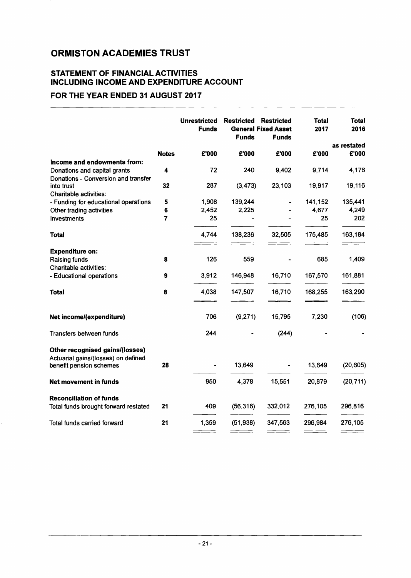### STATEMENT OF FINANCIAL ACTIVITIES INCLUDING INCOME AND EXPENDITURE ACCOUNT

### FOR THE YEAR ENDED 31 AUGUST 2017

|                                                                        |              | <b>Unrestricted</b><br><b>Funds</b> | <b>Restricted</b><br><b>Funds</b> | <b>Restricted</b><br><b>General Fixed Asset</b><br><b>Funds</b> | <b>Total</b><br>2017 | Total<br>2016<br>as restated |
|------------------------------------------------------------------------|--------------|-------------------------------------|-----------------------------------|-----------------------------------------------------------------|----------------------|------------------------------|
|                                                                        | <b>Notes</b> | £'000                               | £'000                             | £'000                                                           | £'000                | £'000                        |
| Income and endowments from:                                            |              |                                     |                                   |                                                                 |                      |                              |
| Donations and capital grants                                           | 4            | 72                                  | 240                               | 9.402                                                           | 9.714                | 4.176                        |
| Donations - Conversion and transfer                                    |              |                                     |                                   |                                                                 |                      |                              |
| into trust                                                             | 32           | 287                                 | (3, 473)                          | 23,103                                                          | 19,917               | 19,116                       |
| Charitable activities:                                                 |              |                                     |                                   |                                                                 |                      |                              |
| - Funding for educational operations                                   | 5            | 1,908                               | 139,244                           |                                                                 | 141,152              | 135,441                      |
| Other trading activities                                               | 6            | 2,452                               | 2,225                             |                                                                 | 4,677                | 4,249                        |
| Investments                                                            | 7            | 25                                  |                                   |                                                                 | 25                   | 202                          |
| Total                                                                  |              | 4,744                               | 138,236                           | 32,505                                                          | 175,485              | 163,184                      |
| <b>Expenditure on:</b>                                                 |              |                                     |                                   |                                                                 |                      |                              |
| <b>Raising funds</b><br><b>Charitable activities:</b>                  | 8            | 126                                 | 559                               |                                                                 | 685                  | 1,409                        |
| - Educational operations                                               | 9            | 3,912                               | 146,948                           | 16,710                                                          | 167,570              | 161,881                      |
| Total                                                                  | 8            | 4,038                               | 147,507                           | 16,710                                                          | 168,255              | 163,290                      |
| Net income/(expenditure)                                               |              | 706                                 | (9,271)                           | 15,795                                                          | 7,230                | (106)                        |
| Transfers between funds                                                |              | 244                                 |                                   | (244)                                                           |                      |                              |
| Other recognised gains/(losses)<br>Actuarial gains/(losses) on defined |              |                                     |                                   |                                                                 |                      |                              |
| benefit pension schemes                                                | 28           |                                     | 13,649                            |                                                                 | 13,649               | (20, 605)                    |
| <b>Net movement in funds</b>                                           |              | 950                                 | 4,378                             | 15,551                                                          | 20,879               | (20, 711)                    |
| <b>Reconciliation of funds</b><br>Total funds brought forward restated | 21           | 409                                 | (56, 316)                         | 332,012                                                         | 276,105              | 296,816                      |
| Total funds carried forward                                            | 21           | 1,359                               | (51, 938)                         | 347,563                                                         | 296,984              | 276,105                      |
|                                                                        |              |                                     |                                   |                                                                 |                      |                              |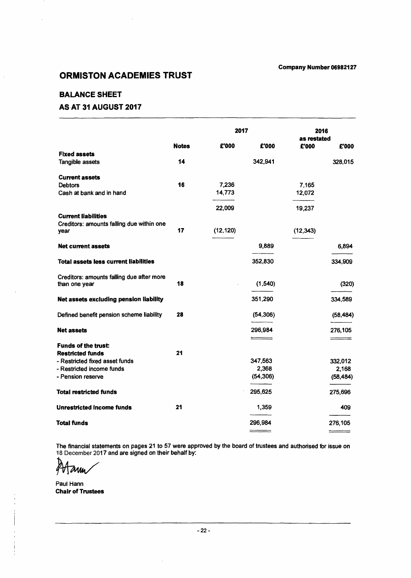### **BALANCE SHEET**

### **AS AT 31 AUGUST 2017**

|                                              |              | 2017      |           | 2016<br>as restated |           |
|----------------------------------------------|--------------|-----------|-----------|---------------------|-----------|
|                                              | <b>Notes</b> | £'000     | £'000     | £'000               | £'000     |
| <b>Fixed assets</b><br>Tangible assets       | 14           |           | 342,941   |                     | 328,015   |
| <b>Current assets</b>                        |              |           |           |                     |           |
| <b>Debtors</b>                               | 16           | 7,236     |           | 7,165               |           |
| Cash at bank and in hand                     |              | 14,773    |           | 12,072              |           |
|                                              |              |           |           |                     |           |
|                                              |              | 22,009    |           | 19,237              |           |
| <b>Current liabilities</b>                   |              |           |           |                     |           |
| Creditors: amounts falling due within one    |              |           |           |                     |           |
| year                                         | 17           | (12, 120) |           | (12, 343)           |           |
| <b>Net current assets</b>                    |              |           | 9,889     |                     | 6,894     |
|                                              |              |           |           |                     |           |
| <b>Total assets less current liabilities</b> |              |           | 352,830   |                     | 334,909   |
| Creditors: amounts falling due after more    |              |           |           |                     |           |
| than one year                                | 18           |           | (1,540)   |                     | (320)     |
| Net assets excluding pension liability       |              |           | 351,290   |                     | 334,589   |
| Defined benefit pension scheme liability     | 28           |           | (54, 306) |                     | (58, 484) |
| <b>Net assets</b>                            |              |           | 296,984   |                     |           |
|                                              |              |           |           |                     | 276,105   |
| <b>Funds of the trust:</b>                   |              |           |           |                     |           |
| <b>Restricted funds</b>                      | 21           |           |           |                     |           |
| - Restricted fixed asset funds               |              |           | 347,563   |                     | 332,012   |
| - Restricted income funds                    |              |           | 2,368     |                     | 2,168     |
| - Pension reserve                            |              |           | (54, 306) |                     | (58, 484) |
| <b>Total restricted funds</b>                |              |           | 295,625   |                     | 275,696   |
| <b>Unrestricted income funds</b>             | 21           |           | 1,359     |                     | 409       |
| <b>Total funds</b>                           |              |           | 296,984   |                     | 276,105   |
|                                              |              |           |           |                     |           |

The financial statements on pages 21 to 57 were approved by the board of trustees and authorised for issue on 18 December 2017 and are signed on their behalf by:

AA Mm

Paul Hann **Chair of Trustees**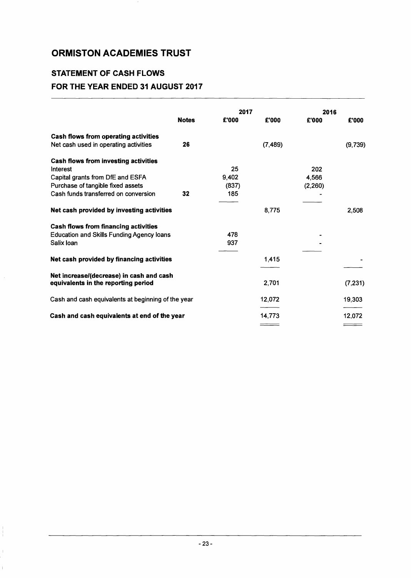### **STATEMENT OF CASH FLOWS**

 $\mathbf{L}$ 

### **FOR THE YEAR ENDED 31 AUGUST 2017**

|                                                    |              | 2017  |          | 2016     |          |  |
|----------------------------------------------------|--------------|-------|----------|----------|----------|--|
|                                                    | <b>Notes</b> | £'000 | £'000    | £'000    | £'000    |  |
| <b>Cash flows from operating activities</b>        |              |       |          |          |          |  |
| Net cash used in operating activities              | 26           |       | (7, 489) |          | (9,739)  |  |
| <b>Cash flows from investing activities</b>        |              |       |          |          |          |  |
| Interest                                           |              | 25    |          | 202      |          |  |
| Capital grants from DfE and ESFA                   |              | 9.402 |          | 4,566    |          |  |
| Purchase of tangible fixed assets                  |              | (837) |          | (2, 260) |          |  |
| Cash funds transferred on conversion               | 32           | 185   |          |          |          |  |
| Net cash provided by investing activities          |              |       | 8,775    |          | 2,508    |  |
| <b>Cash flows from financing activities</b>        |              |       |          |          |          |  |
| <b>Education and Skills Funding Agency loans</b>   |              | 478   |          |          |          |  |
| Salix Ioan                                         |              | 937   |          |          |          |  |
|                                                    |              |       |          |          |          |  |
| Net cash provided by financing activities          |              |       | 1,415    |          |          |  |
| Net increase/(decrease) in cash and cash           |              |       |          |          |          |  |
| equivalents in the reporting period                |              |       | 2,701    |          | (7, 231) |  |
| Cash and cash equivalents at beginning of the year |              |       | 12,072   |          | 19,303   |  |
| Cash and cash equivalents at end of the year       |              |       | 14,773   |          | 12.072   |  |
|                                                    |              |       |          |          |          |  |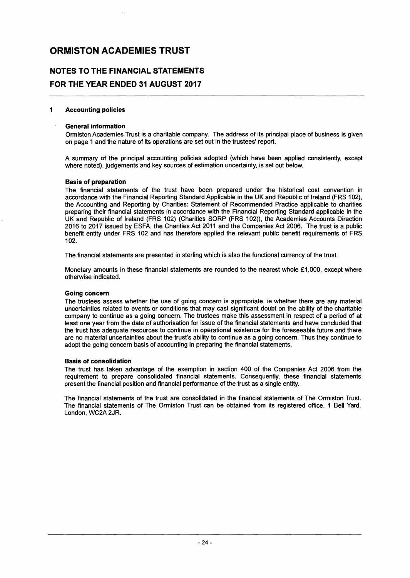### **NOTES TO THE FINANCIAL STATEMENTS FOR THE YEAR ENDED 31 AUGUST 2017**

#### **1 Accounting policies**

#### **General information**

Ormiston Academies Trust is a charitable company. The address of its principal place of business is given on page 1 and the nature of its operations are set out in the trustees' report.

A summary of the principal accounting policies adopted (which have been applied consistently, except where noted), judgements and key sources of estimation uncertainty, is set out below.

#### **Basis of preparation**

The financial statements of the trust have been prepared under the historical cost convention in accordance with the Financial Reporting Standard Applicable in the UK and Republic of Ireland (FRS 102), the Accounting and Reporting by Charities: Statement of Recommended Practice applicable to charities preparing their financial statements in accordance with the Financial Reporting Standard applicable in the UK and Republic of Ireland (FRS 102) (Charities SORP (FRS 102», the Academies Accounts Direction 2016 to 2017 issued by ESFA, the Charities Act 2011 and the Companies Act 2006. The trust is a public benefit entity under FRS 102 and has therefore applied the relevant public benefit requirements of FRS 102.

The financial statements are presented in sterling which is also the functional currency of the trust.

Monetary amounts in these financial statements are rounded to the nearest whole £1,000, except where otherwise indicated.

#### **Going concern**

The trustees assess whether the use of going concern is appropriate, ie whether there are any material uncertainties related to events or conditions that may cast significant doubt on the ability of the charitable company to continue as a going concern. The trustees make this assessment in respect of a period of at least one year from the date of authorisation for issue of the financial statements and have concluded that the trust has adequate resources to continue in operational existence for the foreseeable future and there are no material uncertainties about the trust's ability to continue as a going concern. Thus they continue to adopt the going concern basis of accounting in preparing the financial statements.

#### **Basis of consolidation**

The trust has taken advantage of the exemption in section 400 of the Companies Act 2006 from the requirement to prepare consolidated financial statements. Consequently, these financial statements present the financial position and financial performance of the trust as a single entity.

The financial statements of the trust are consolidated in the financial statements of The Ormiston Trust. The financial statements of The Ormiston Trust can be obtained from its registered office, 1 Bell Yard, London, WC2A 2JR.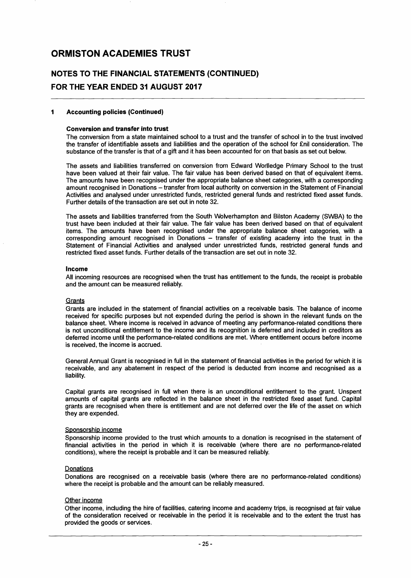### **NOTES TO THE FINANCIAL STATEMENTS (CONTINUED) FOR THE YEAR ENDED 31 AUGUST 2017**

#### **1 Accounting policies (Continued)**

#### **Conversion and transfer into trust**

The conversion from a state maintained school to a trust and the transfer of school in to the trust involved the transfer of identifiable assets and liabilities and the operation of the school for £nil consideration. The substance of the transfer is that of a gift and it has been accounted for on that basis as set out below.

The assets and liabilities transferred on conversion from Edward Worlledge Primary School to the trust have been valued at their fair value. The fair value has been derived based on that of equivalent items. The amounts have been recognised under the appropriate balance sheet categories, with a corresponding amount recognised in Donations - transfer from local authority on conversion in the Statement of Financial Activities and analysed under unrestricted funds, restricted general funds and restricted fixed asset funds. Further details of the transaction are set out in note 32.

The assets and liabilities transferred from the South Wolverhampton and Bilston Academy (SWBA) to the trust have been included at their fair value. The fair value has been derived based on that of equivalent items. The amounts have been recognised under the appropriate balance sheet categories, with a corresponding amount recognised in Donations - transfer of existing academy into the trust in the Statement of Financial Activities and analysed under unrestricted funds, restricted general funds and restricted fixed asset funds. Further details of the transaction are set out in note 32.

#### **Income**

All incoming resources are recognised when the trust has entitlement to the funds, the receipt is probable and the amount can be measured reliably.

#### **Grants**

Grants are included in the statement of financial activities on a receivable basis. The balance of income received for specific purposes but not expended during the period is shown in the relevant funds on the balance sheet. Where income is received in advance of meeting any performance-related conditions there is not unconditional entitlement to the income and its recognition is deferred and included in creditors as deferred income until the performance-related conditions are met. Where entitlement occurs before income is received, the income is accrued.

General Annual Grant is recognised in full in the statement of financial activities in the period for which it is receivable, and any abatement in respect of the period is deducted from income and recognised as a liability.

Capital grants are recognised in full when there is an unconditional entitlement to the grant. Unspent amounts of capital grants are reflected in the balance sheet in the restricted fixed asset fund. Capital grants are recognised when there is entitlement and are not deferred over the life of the asset on which they are expended.

#### Sponsorship income

Sponsorship income provided to the trust which amounts to a donation is recognised in the statement of financial activities in the period in which it is receivable (where there are no performance-related conditions), where the receipt is probable and it can be measured reliably.

#### **Donations**

Donations are recognised on a receivable basis (where there are no performance-related conditions) where the receipt is probable and the amount can be reliably measured.

#### Other income

Other income, including the hire of facilities, catering income and academy trips, is recognised at fair value of the consideration received or receivable in the period it is receivable and to the extent the trust has provided the goods or services.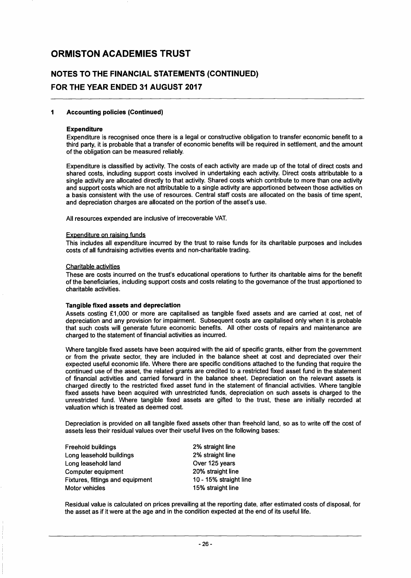### **NOTES TO THE FINANCIAL STATEMENTS (CONTINUED) FOR THE YEAR ENDED 31 AUGUST 2017**

#### **1 Accounting policies (Continued)**

#### **Expenditure**

Expenditure is recognised once there is a legal or constructive obligation to transfer economic benefit to a third party, it is probable that a transfer of economic benefits will be required in settlement, and the amount of the obligation can be measured reliably.

Expenditure is classified by activity. The costs of each activity are made up of the total of direct costs and shared costs, including support costs involved in undertaking each activity. Direct costs attributable to a single activity are allocated directly to that activity. Shared costs which contribute to more than one activity and support costs which are not attributable to a single activity are apportioned between those activities on a basis consistent with the use of resources. Central staff costs are allocated on the basis of time spent, and depreciation charges are allocated on the portion of the asset's use.

All resources expended are inclusive of irrecoverable VAT.

#### Expenditure on raising funds

This includes all expenditure incurred by the trust to raise funds for its charitable purposes and includes costs of all fundraising activities events and non-charitable trading.

#### Charitable activities

These are costs incurred on the trust's educational operations to further its charitable aims for the benefit of the beneficiaries, including support costs and costs relating to the governance of the trust apportioned to charitable activities.

#### **Tangible fixed assets and depreciation**

Assets costing £1,000 or more are capitalised as tangible fixed assets and are carried at cost, net of depreciation and any provision for impairment. Subsequent costs are capitalised only when it is probable that such costs will generate future economic benefits. All other costs of repairs and maintenance are charged to the statement of financial activities as incurred.

Where tangible fixed assets have been acquired with the aid of specific grants, either from the government or from the private sector, they are included in the balance sheet at cost and depreciated over their expected useful economic life. Where there are specific conditions attached to the funding that require the continued use of the asset, the related grants are credited to a restricted fixed asset fund in the statement of financial activities and carried forward in the balance sheet. Depreciation on the relevant assets is charged directly to the restricted fixed asset fund in the statement of financial activities. Where tangible fixed assets have been acquired with unrestricted funds, depreciation on such assets is charged to the unrestricted fund. Where tangible fixed assets are gifted to the trust, these are initially recorded at valuation which is treated as deemed cost.

Depreciation is provided on all tangible fixed assets other than freehold land, so as to write off the cost of assets less their residual values over their useful lives on the following bases:

| <b>Freehold buildings</b>        | 2% straight line       |
|----------------------------------|------------------------|
| Long leasehold buildings         | 2% straight line       |
| Long leasehold land              | Over 125 years         |
| Computer equipment               | 20% straight line      |
| Fixtures, fittings and equipment | 10 - 15% straight line |
| Motor vehicles                   | 15% straight line      |

Residual value is calculated on prices prevailing at the reporting date, after estimated costs of disposal, for the asset as if it were at the age and in the condition expected at the end of its useful life.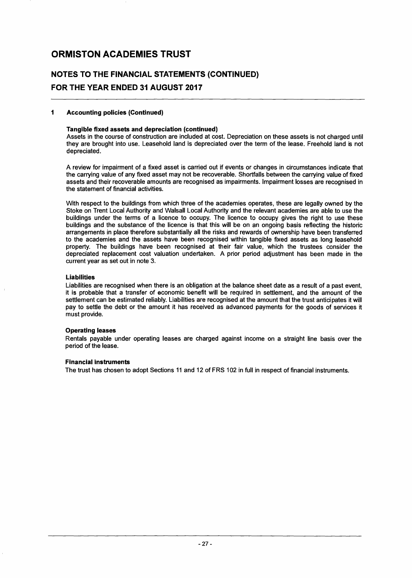### **NOTES TO THE FINANCIAL STATEMENTS (CONTINUED) FOR THE YEAR ENDED 31 AUGUST 2017**

#### **1 Accounting policies (Continued)**

#### **Tangible fixed assets and depreciation (continued)**

Assets in the course of construction are included at cost. Depreciation on these assets is not charged until they are brought into use. Leasehold land is depreciated over the term of the lease. Freehold land is not depreciated.

A review for impairment of a fixed asset is carried out if events or changes in circumstances indicate that the carrying value of any fixed asset may not be recoverable. Shortfalls between the carrying value of fixed assets and their recoverable amounts are recognised as impairments. Impairment losses are recognised in the statement of financial activities.

With respect to the buildings from which three of the academies operates, these are legally owned by the Stoke on Trent Local Authority and Walsall Local Authority and the relevant academies are able to use the buildings under the terms of a licence to occupy. The licence to occupy gives the right to use these buildings and the substance of the licence is that this will be on an ongoing basis reflecting the historic arrangements in place therefore substantially all the risks and rewards of ownership have been transferred to the academies and the assets have been recognised within tangible fixed assets as long leasehold property. The buildings have been recognised at their fair value, which the trustees consider the depreciated replacement cost valuation undertaken. A prior period adjustment has been made in the current year as set out in note 3.

#### **Liabilities**

Liabilities are recognised when there is an obligation at the balance sheet date as a result of a past event, it is probable that a transfer of economic benefit will be required in settlement, and the amount of the settlement can be estimated reliably. Liabilities are recognised at the amount that the trust anticipates it will pay to settle the debt or the amount it has received as advanced payments for the goods of services it must provide.

#### **Operating leases**

Rentals payable under operating leases are charged against income on a straight line basis over the period of the lease.

#### **Financial instruments**

The trust has chosen to adopt Sections 11 and 12 of FRS 102 in full in respect of financial instruments.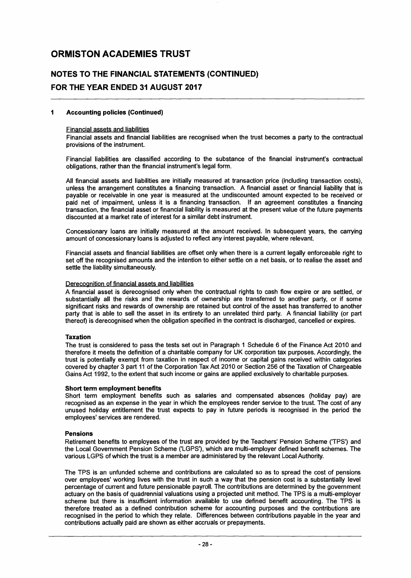### **NOTES TO THE FINANCIAL STATEMENTS (CONTINUED) FOR THE YEAR ENDED 31 AUGUST 2017**

#### **1 Accounting policies (Continued)**

#### Financial assets and liabilities

Financial assets and financial liabilities are recognised when the trust becomes a party to the contractual provisions of the instrument.

Financial liabilities are classified according to the substance of the financial instrument's contractual obligations, rather than the financial instrument's legal form.

All financial assets and liabilities are initially measured at transaction price (including transaction costs), unless the arrangement constitutes a financing transaction. A financial asset or financial liability that is payable or receivable in one year is measured at the undiscounted amount expected to be received or paid net of impairment, unless it is a financing transaction. If an agreement constitutes a financing transaction, the financial asset or financial liability is measured at the present value of the future payments discounted at a market rate of interest for a similar debt instrument.

Concessionary loans are initially measured at the amount received. In subsequent years, the carrying amount of concessionary loans is adjusted to reflect any interest payable, where relevant.

Financial assets and financial liabilities are offset only when there is a current legally enforceable right to set off the recognised amounts and the intention to either settle on a net basis, or to realise the asset and settle the liability simultaneously.

#### Derecognition of financial assets and liabilities

A financial asset is derecognised only when the contractual rights to cash flow expire or are settled, or substantially all the risks and the rewards of ownership are transferred to another party, or if some significant risks and rewards of ownership are retained but control of the asset has transferred to another party that is able to sell the asset in its entirety to an unrelated third party. A financial liability (or part thereof) is derecognised when the obligation specified in the contract is discharged, cancelled or expires.

#### **Taxation**

The trust is considered to pass the tests set out in Paragraph 1 Schedule 6 of the Finance Act 2010 and therefore it meets the definition of a charitable company for UK corporation tax purposes. Accordingly, the trust is potentially exempt from taxation in respect of income or capital gains received within categories covered by chapter 3 part 11 of the Corporation Tax Act 2010 or Section 256 of the Taxation of Chargeable Gains Act 1992, to the extent that such income or gains are applied exclusively to charitable purposes.

#### **Short term employment benefits**

Short term employment benefits such as salaries and compensated absences (holiday pay) are recognised as an expense in the year in which the employees render service to the trust. The cost of any unused holiday entitlement the trust expects to pay in future periods is recognised in the period the employees' services are rendered.

#### **Pensions**

Retirement benefits to employees of the trust are provided by the Teachers' Pension Scheme (TPS') and the Local Government Pension Scheme ('LGPS'), which are multi-employer defined benefit schemes. The various LGPS of which the trust is a member are administered by the relevant Local Authority.

The TPS is an unfunded scheme and contributions are calculated so as to spread the cost of pensions over employees' working lives with the trust in such a way that the pension cost is a substantially level percentage of current and future pensionable payroll. The contributions are determined by the government actuary on the basis of quadrennial valuations using a projected unit method. The TPS is a multi-employer scheme but there is insufficient information available to use defined benefit accounting. The TPS is therefore treated as a defined contribution scheme for accounting purposes and the contributions are recognised in the period to which they relate. Differences between contributions payable in the year and contributions actually paid are shown as either accruals or prepayments.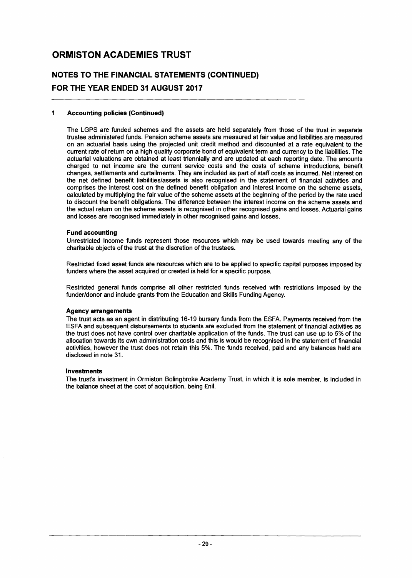### **NOTES TO THE FINANCIAL STATEMENTS (CONTINUED) FOR THE YEAR ENDED 31 AUGUST 2017**

#### **1 Accounting policies (Continued)**

The LGPS are funded schemes and the assets are held separately from those of the trust in separate trustee administered funds. Pension scheme assets are measured at fair value and liabilities are measured on an actuarial basis using the projected unit credit method and discounted at a rate equivalent to the current rate of return on a high quality corporate bond of equivalent term and currency to the liabilities. The actuarial valuations are obtained at least triennially and are updated at each reporting date. The amounts charged to net income are the current service costs and the costs of scheme introductions, benefit changes, settlements and curtailments. They are included as part of staff costs as incurred. Net interest on the net defined benefit liabilities/assets is also recognised in the statement of financial activities and comprises the interest cost on the defined benefit obligation and interest income on the scheme assets, calculated by multiplying the fair value of the scheme assets at the beginning of the period by the rate used to discount the benefit obligations. The difference between the interest income on the scheme assets and the actual return on the scheme assets is recognised in other recognised gains and losses. Actuarial gains and losses are recognised immediately in other recognised gains and losses.

#### **Fund accounting**

Unrestricted income funds represent those resources which may be used towards meeting any of the charitable objects of the trust at the discretion of the trustees.

Restricted fixed asset funds are resources which are to be applied to specific capital purposes imposed by funders where the asset acquired or created is held for a specific purpose.

Restricted general funds comprise all other restricted funds received with restrictions imposed by the funder/donor and include grants from the Education and Skills Funding Agency.

#### **Agency arrangements**

The trust acts as an agent in distributing 16-19 bursary funds from the ESFA. Payments received from the ESFA and subsequent disbursements to students are excluded from the statement of financial activities as the trust does not have control over charitable application of the funds. The trust can use up to 5% of the allocation towards its own administration costs and this is would be recognised in the statement of financial activities, however the trust does not retain this 5%. The funds received, paid and any balances held are disclosed in note 31.

#### **Investments**

The trust's investment in Ormiston Bolingbroke Academy Trust, in which it is sole member, is included in the balance sheet at the cost of acquisition, being £nil.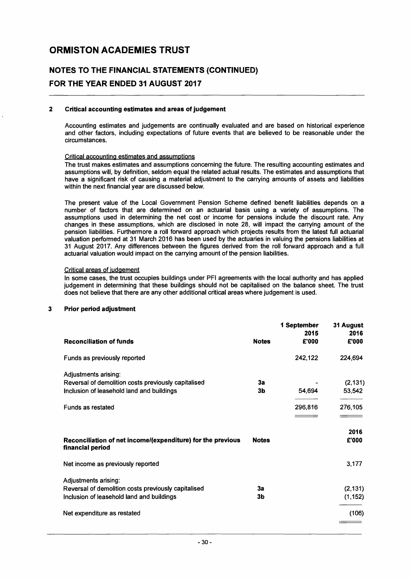### **NOTES TO THE FINANCIAL STATEMENTS (CONTINUED) FOR THE YEAR ENDED 31 AUGUST 2017**

#### **2 Critical accounting estimates and areas of judgement**

Accounting estimates and judgements are continually evaluated and are based on historical experience and other factors, including expectations of future events that are believed to be reasonable under the circumstances.

#### Critical accounting estimates and assumptions

The trust makes estimates and assumptions concerning the future. The resulting accounting estimates and assumptions will, by definition, seldom equal the related actual results. The estimates and assumptions that have a significant risk of causing a material adjustment to the carrying amounts of assets and liabilities within the next financial year are discussed below.

The present value of the Local Government Pension Scheme defined benefit liabilities depends on a number of factors that are determined on an actuarial basis using a variety of assumptions. The assumptions used in determining the net cost or income for pensions include the discount rate. Any changes in these assumptions, which are disclosed in note 28, will impact the carrying amount of the pension liabilities. Furthermore a roll forward approach which projects results from the latest full actuarial valuation performed at 31 March 2016 has been used by the actuaries in valuing the pensions liabilities at 31 August 2017. Any differences between the figures derived from the roll forward approach and a full actuarial valuation would impact on the carrying amount of the pension liabilities.

#### Critical areas of judgement

In some cases, the trust occupies buildings under PFI agreements with the local authority and has applied judgement in determining that these buildings should not be capitalised on the balance sheet. The trust does not believe that there are any other additional critical areas where judgement is used.

#### **3 Prior period adjustment**

| 1 September<br>2015 | 31 August<br>2016            |
|---------------------|------------------------------|
| £'000               | £'000                        |
| 242,122             | 224,694                      |
|                     | (2, 131)                     |
| 54,694              | 53,542                       |
| 296,816             | 276,105                      |
|                     |                              |
|                     | 2016<br>£'000                |
|                     | 3,177                        |
|                     |                              |
|                     | (2, 131)<br>(1, 152)         |
|                     | (106)                        |
|                     | <b>Notes</b><br><b>Notes</b> |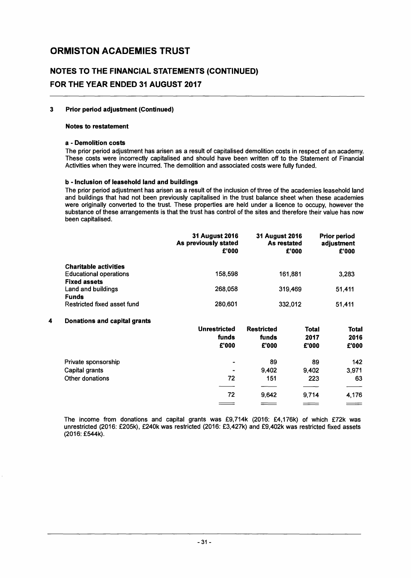### NOTES TO THE FINANCIAL STATEMENTS (CONTINUED) FOR THE YEAR ENDED 31 AUGUST 2017

#### 3 Prior period adjustment (Continued)

#### Notes to restatement

#### a - Demolition costs

The prior period adjustment has arisen as a result of capitalised demolition costs in respect of an academy. These costs were incorrectly capitalised and should have been written off to the Statement of Financial Activities when they were incurred. The demolition and associated costs were fully funded.

#### b - Inclusion of leasehold land and buildings

The prior period adjustment has arisen as a result of the inclusion of three of the academies leasehold land and buildings that had not been previously capitalised in the trust balance sheet when these academies were originally converted to the trust. These properties are held under a licence to occupy, however the substance of these arrangements is that the trust has control of the sites and therefore their value has now been capitalised.

|   |                               | 31 August 2016<br>As previously stated<br>£'000 | <b>31 August 2016</b><br>As restated<br>£'000 |              | <b>Prior period</b><br>adjustment<br>£'000 |
|---|-------------------------------|-------------------------------------------------|-----------------------------------------------|--------------|--------------------------------------------|
|   | <b>Charitable activities</b>  |                                                 |                                               |              |                                            |
|   | <b>Educational operations</b> | 158,598                                         | 161,881                                       |              | 3,283                                      |
|   | <b>Fixed assets</b>           |                                                 |                                               |              |                                            |
|   | Land and buildings            | 268,058                                         | 319,469                                       |              | 51,411                                     |
|   | <b>Funds</b>                  |                                                 |                                               |              |                                            |
|   | Restricted fixed asset fund   | 280,601                                         | 332,012                                       |              | 51,411                                     |
| 4 | Donations and capital grants  |                                                 |                                               |              |                                            |
|   |                               | <b>Unrestricted</b>                             | <b>Restricted</b>                             | <b>Total</b> | <b>Total</b>                               |
|   |                               | funds                                           | funds                                         | 2017         | 2016                                       |
|   |                               | £'000                                           | £'000                                         | £'000        | £'000                                      |
|   | Private sponsorship           | -                                               | 89                                            | 89           | 142                                        |
|   | Capital grants                |                                                 | 9.402                                         | 9,402        | 3.971                                      |
|   | Other donations               | 72                                              | 151                                           | 223          | 63                                         |
|   |                               |                                                 |                                               |              |                                            |
|   |                               | 72                                              | 9.642                                         | 9,714        | 4,176                                      |
|   |                               |                                                 |                                               |              |                                            |

The income from donations and capital grants was £9,714k (2016: £4,176k) of which £72k was unrestricted (2016: £205k), £240k was restricted (2016: £3,427k) and £9,402k was restricted fixed assets (2016: £544k).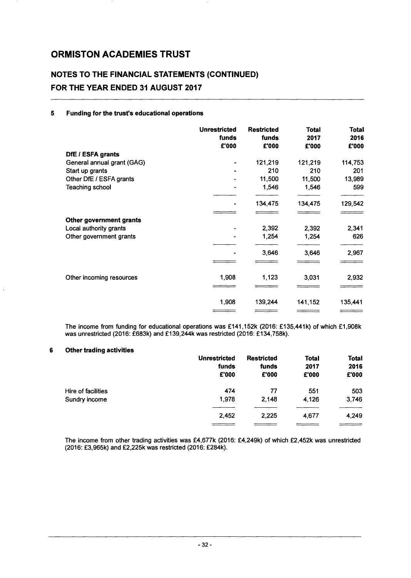### NOTES TO THE FINANCIAL STATEMENTS (CONTINUED) FOR THE YEAR ENDED 31 AUGUST 2017

#### 5 Funding for the trust"s educational operations

| <b>Unrestricted</b><br>funds<br>£'000 | <b>Restricted</b><br>funds<br>£'000 | <b>Total</b><br>2017<br>£'000 | <b>Total</b><br>2016<br>£'000 |
|---------------------------------------|-------------------------------------|-------------------------------|-------------------------------|
|                                       |                                     |                               |                               |
|                                       | 121,219                             | 121,219                       | 114,753                       |
|                                       | 210                                 | 210                           | 201                           |
|                                       | 11,500                              | 11,500                        | 13,989                        |
|                                       | 1,546                               | 1,546                         | 599                           |
|                                       | 134,475                             | 134,475                       | 129,542                       |
|                                       |                                     |                               |                               |
|                                       |                                     |                               |                               |
|                                       | 2,392                               | 2,392                         | 2,341                         |
|                                       | 1,254                               | 1,254                         | 626                           |
|                                       | 3,646                               | 3,646                         | 2,967                         |
|                                       |                                     |                               |                               |
| 1,908                                 | 1,123                               | 3,031                         | 2,932                         |
| 1,908                                 | 139,244                             | 141,152                       | 135,441                       |
|                                       |                                     |                               |                               |

The income from funding for educational operations was £141,152k (2016: £135,441k) of which £1,908k was unrestricted (2016: £683k) and £139,244k was restricted (2016: £134,758k).

#### 6 Other trading activities

|                    | <b>Unrestricted</b><br>funds<br>£'000 | <b>Restricted</b><br>funds<br>£'000 | <b>Total</b><br>2017<br>£'000 | Total<br>2016<br>£'000 |
|--------------------|---------------------------------------|-------------------------------------|-------------------------------|------------------------|
| Hire of facilities | 474                                   | 77                                  | 551                           | 503                    |
| Sundry income      | 1,978                                 | 2.148                               | 4,126                         | 3,746                  |
|                    | 2,452                                 | 2,225                               | 4.677                         | 4.249                  |
|                    |                                       |                                     |                               |                        |

The income from other trading activities was £4,677k (2016: £4,249k) of which £2,452k was unrestrided (2016: £3,965k) and £2,225k was restricted (2016: £284k).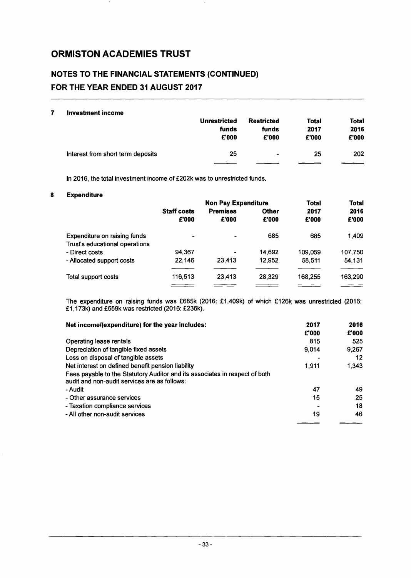### NOTES TO THE FINANCIAL STATEMENTS (CONTINUED) FOR THE YEAR ENDED 31 AUGUST 2017

#### 7 Investment income

|                                   | <b>Unrestricted</b> | <b>Restricted</b> | Total | Total |
|-----------------------------------|---------------------|-------------------|-------|-------|
|                                   | funds               | funds             | 2017  | 2016  |
|                                   | £'000               | £'000             | £'000 | £'000 |
| Interest from short term deposits | 25                  | $\blacksquare$    | 25    | 202   |

In 2016, the total investment income of £202k was to unrestricted funds.

#### 8 Expenditure

|                                                                | <b>Non Pay Expenditure</b>  |                          |                       | Total         | <b>Total</b>  |  |
|----------------------------------------------------------------|-----------------------------|--------------------------|-----------------------|---------------|---------------|--|
|                                                                | <b>Staff costs</b><br>£'000 | <b>Premises</b><br>£'000 | <b>Other</b><br>£'000 | 2017<br>£'000 | 2016<br>£'000 |  |
| Expenditure on raising funds<br>Trust's educational operations |                             | $\overline{\phantom{a}}$ | 685                   | 685           | 1.409         |  |
| - Direct costs                                                 | 94.367                      | $\blacksquare$           | 14.692                | 109,059       | 107,750       |  |
| - Allocated support costs                                      | 22.146                      | 23.413                   | 12.952                | 58.511        | 54.131        |  |
| Total support costs                                            | 116.513                     | 23.413                   | 28.329                | 168.255       | 163,290       |  |
|                                                                |                             |                          |                       |               |               |  |

The expenditure on raising funds was £685k (2016: £1,409k) of which £126k was unrestricted (2016: £1, 173k) and £559k was restricted (2016: £236k).

| Net income/(expenditure) for the year includes:                                                                             | 2017  | 2016  |
|-----------------------------------------------------------------------------------------------------------------------------|-------|-------|
|                                                                                                                             | £'000 | £'000 |
| Operating lease rentals                                                                                                     | 815   | 525   |
| Depreciation of tangible fixed assets                                                                                       | 9,014 | 9.267 |
| Loss on disposal of tangible assets                                                                                         |       | 12    |
| Net interest on defined benefit pension liability                                                                           | 1.911 | 1,343 |
| Fees payable to the Statutory Auditor and its associates in respect of both<br>audit and non-audit services are as follows: |       |       |
| - Audit                                                                                                                     | 47    | 49    |
| - Other assurance services                                                                                                  | 15    | 25    |
| - Taxation compliance services                                                                                              |       | 18    |
| - All other non-audit services                                                                                              | 19    | 46    |
|                                                                                                                             |       |       |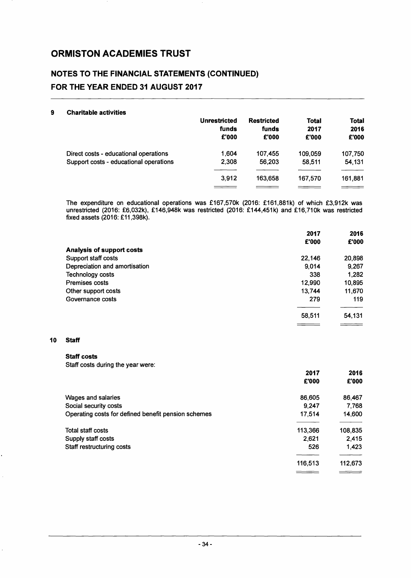### **NOTES TO THE FINANCIAL STATEMENTS (CONTINUED) FOR THE YEAR ENDED 31 AUGUST 2017**

#### **9 Charitable activities**

|                                        | <b>Unrestricted</b><br>funds<br>£'000 | <b>Restricted</b><br>funds<br>£'000 | <b>Total</b><br>2017<br>£'000 | <b>Total</b><br>2016<br>£'000 |
|----------------------------------------|---------------------------------------|-------------------------------------|-------------------------------|-------------------------------|
| Direct costs - educational operations  | 1.604                                 | 107.455                             | 109,059                       | 107,750                       |
| Support costs - educational operations | 2,308                                 | 56,203                              | 58.511                        | 54,131                        |
|                                        | 3.912                                 | 163,658                             | 167.570                       | 161.881                       |
|                                        |                                       |                                     |                               |                               |

The expenditure on educational operations was £167,570k (2016: £161,881k) of which £3,912k was unrestricted (2016: £6,032k), £146,948k was restricted (2016: £144,451k) and £16,710k was restricted fixed assets (2016: £11,398k).

|                               | 2017   | 2016   |
|-------------------------------|--------|--------|
|                               | £'000  | £'000  |
| Analysis of support costs     |        |        |
| Support staff costs           | 22,146 | 20,898 |
| Depreciation and amortisation | 9.014  | 9,267  |
| <b>Technology costs</b>       | 338    | 1,282  |
| <b>Premises costs</b>         | 12,990 | 10,895 |
| Other support costs           | 13.744 | 11,670 |
| Governance costs              | 279    | 119    |
|                               |        |        |
|                               | 58,511 | 54.131 |
|                               |        |        |

#### **10 Staff**

#### **Staff costs**

Staff costs during the year were:

|                                                     | 2017    | 2016    |
|-----------------------------------------------------|---------|---------|
|                                                     | £'000   | £'000   |
| Wages and salaries                                  | 86,605  | 86.467  |
| Social security costs                               | 9,247   | 7,768   |
| Operating costs for defined benefit pension schemes | 17.514  | 14,600  |
| Total staff costs                                   | 113,366 | 108,835 |
| Supply staff costs                                  | 2,621   | 2,415   |
| Staff restructuring costs                           | 526     | 1,423   |
|                                                     | 116,513 | 112,673 |
|                                                     |         |         |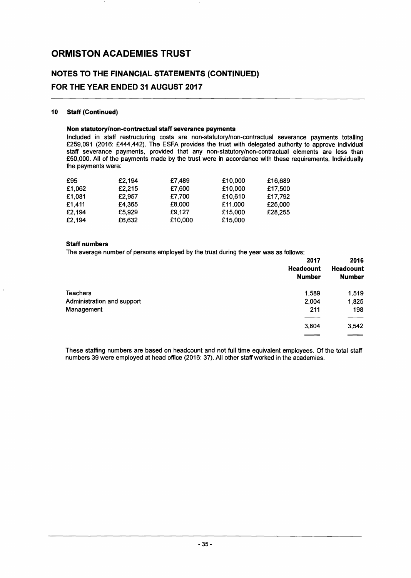### **NOTES TO THE FINANCIAL STATEMENTS (CONTINUED)**

### **FOR THE YEAR ENDED 31 AUGUST 2017**

#### **10 Staff (Continued)**

#### **Non statutory/non-contractual staff severance payments**

Included in staff restructuring costs are non-statutory/non-contractual severance payments totalling £259,091 (2016: £444,442). The ESFA provides the trust with delegated authority to approve individual staff severance payments, provided that any non-statutory/non-contractual elements are less than £50,000. All of the payments made by the trust were in accordance with these requirements. Individually the payments were:

| £95    | £2.194 | £7,489  | £10,000 | £16,689 |
|--------|--------|---------|---------|---------|
| £1.062 | £2.215 | £7,600  | £10,000 | £17.500 |
| £1,081 | £2.957 | £7.700  | £10.610 | £17.792 |
| £1.411 | £4,365 | £8.000  | £11,000 | £25,000 |
| £2.194 | £5.929 | £9.127  | £15,000 | £28,255 |
| £2,194 | £6.632 | £10,000 | £15,000 |         |

#### **Staff numbers**

The average number of persons employed by the trust during the year was as follows:

|                            | 2017<br><b>Headcount</b><br><b>Number</b> | 2016<br><b>Headcount</b><br><b>Number</b> |
|----------------------------|-------------------------------------------|-------------------------------------------|
| <b>Teachers</b>            | 1,589                                     | 1,519                                     |
| Administration and support | 2,004                                     | 1,825                                     |
| Management                 | 211                                       | 198                                       |
|                            |                                           |                                           |
|                            | 3,804                                     | 3,542                                     |
|                            |                                           | ===                                       |

These staffing numbers are based on headcount and not full time equivalent employees. Of the total staff numbers 39 were employed at head office (2016: 37). All other staff worked in the academies.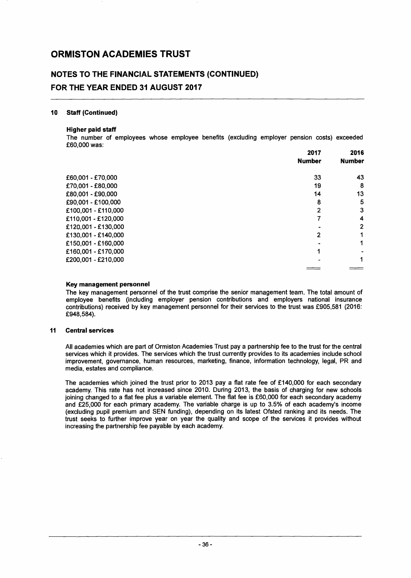## NOTES TO THE FINANCIAL STATEMENTS (CONTINUED)

### FOR THE YEAR ENDED 31 AUGUST 2017

#### 10 Staff (Continued)

#### Higher paid staff

The number of employees whose employee benefits (excluding employer pension costs) exceeded £60,000 was:

|                     | 2017           | 2016          |
|---------------------|----------------|---------------|
|                     | <b>Number</b>  | <b>Number</b> |
| £60,001 - £70,000   | 33             | 43            |
| £70,001 - £80,000   | 19             | 8             |
| £80,001 - £90,000   | 14             | 13            |
| £90,001 - £100,000  | 8              | 5             |
| £100,001 - £110,000 | $\overline{2}$ | 3             |
| £110,001 - £120,000 |                | 4             |
| £120.001 - £130,000 |                | 2             |
| £130.001 - £140.000 | $\mathbf{2}$   |               |
| £150.001 - £160.000 |                |               |
| £160.001 - £170.000 |                |               |
| £200,001 - £210,000 |                |               |
|                     |                |               |

#### Key management personnel

The key management personnel of the trust comprise the senior management team. The total amount of employee benefits (including employer pension contributions and employers national insurance contributions) received by key management personnel for their services to the trust was £905,581 (2016: £948,584).

#### 11 Central services

All academies which are part of Ormiston Academies Trust pay a partnership fee to the trust for the central services which it provides. The services which the trust currently provides to its academies include school improvement, governance, human resources, marketing, finance, information technology, legal, PR and media, estates and compliance.

The academies which joined the trust prior to 2013 pay a flat rate fee of £140,000 for each secondary academy. This rate has not increased since 2010. During 2013, the basis of charging for new schools joining changed to a flat fee plus a variable element. The flat fee is £60,000 for each secondary academy and £25,000 for each primary academy. The variable charge is up to 3.5% of each academy's income (excluding pupil premium and SEN funding), depending on its latest Ofsted ranking and its needs. The trust seeks to further improve year on year the quality and scope of the services it provides without increasing the partnership fee payable by each academy.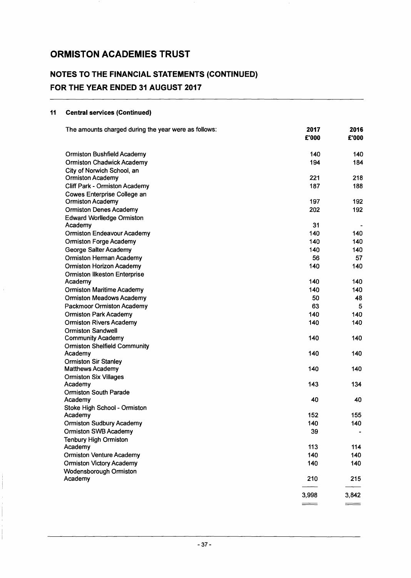### **NOTES TO THE FINANCIAL STATEMENTS (CONTINUED) FOR THE YEAR ENDED 31 AUGUST 2017**

### 11 Central services (Continued)

| The amounts charged during the year were as follows: | 2017       | 2016  |
|------------------------------------------------------|------------|-------|
|                                                      | £'000      | £'000 |
| <b>Ormiston Bushfield Academy</b>                    | 140        | 140   |
| <b>Ormiston Chadwick Academy</b>                     | 194        | 184   |
| City of Norwich School, an                           |            |       |
| <b>Ormiston Academy</b>                              | 221        | 218   |
| Cliff Park - Ormiston Academy                        | 187        | 188   |
| Cowes Enterprise College an                          |            |       |
| <b>Ormiston Academy</b>                              | 197        | 192   |
| <b>Ormiston Denes Academy</b>                        | 202        | 192   |
| <b>Edward Worlledge Ormiston</b>                     |            |       |
| Academy                                              | 31         |       |
| <b>Ormiston Endeavour Academy</b>                    | 140        | 140   |
| <b>Ormiston Forge Academy</b>                        | 140        | 140   |
| George Salter Academy                                | 140        | 140   |
| Ormiston Herman Academy                              | 56         | 57    |
| <b>Ormiston Horizon Academy</b>                      | 140        | 140   |
| <b>Ormiston Ilkeston Enterprise</b>                  |            |       |
| Academy                                              | 140        | 140   |
| <b>Ormiston Maritime Academy</b>                     | 140        | 140   |
| <b>Ormiston Meadows Academy</b>                      | 50         | 48    |
| <b>Packmoor Ormiston Academy</b>                     | 63         | 5     |
| <b>Ormiston Park Academy</b>                         | 140<br>140 | 140   |
| <b>Ormiston Rivers Academy</b>                       |            | 140   |
| <b>Ormiston Sandwell</b><br><b>Community Academy</b> | 140        | 140   |
| <b>Ormiston Shelfield Community</b>                  |            |       |
| Academy                                              | 140        | 140   |
| <b>Ormiston Sir Stanley</b>                          |            |       |
| <b>Matthews Academy</b>                              | 140        | 140   |
| <b>Ormiston Six Villages</b>                         |            |       |
| Academy                                              | 143        | 134   |
| <b>Ormiston South Parade</b>                         |            |       |
| Academy                                              | 40         | 40    |
| Stoke High School - Ormiston                         |            |       |
| Academy                                              | 152        | 155   |
| <b>Ormiston Sudbury Academy</b>                      | 140        | 140   |
| Ormiston SWB Academy                                 | 39         |       |
| Tenbury High Ormiston                                |            |       |
| Academy                                              | 113        | 114   |
| Ormiston Venture Academy                             | 140        | 140   |
| <b>Ormiston Victory Academy</b>                      | 140        | 140   |
| <b>Wodensborough Ormiston</b>                        |            |       |
| Academy                                              | 210        | 215   |
|                                                      | 3,998      | 3,842 |
|                                                      |            |       |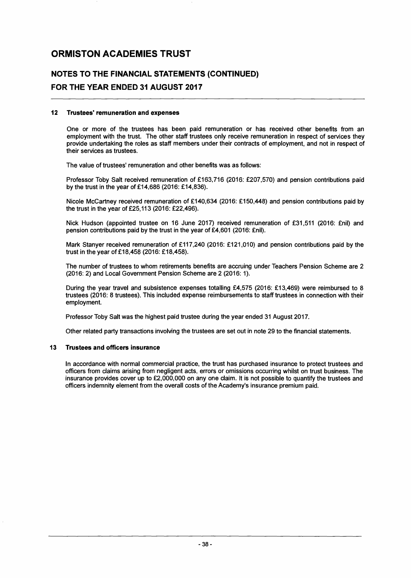### **NOTES TO THE FINANCIAL STATEMENTS (CONTINUED) FOR THE YEAR ENDED 31 AUGUST 2017**

#### **12 Trustees' remuneration and expenses**

One or more of the trustees has been paid remuneration or has received other benefits from an employment with the trust. The other staff trustees only receive remuneration in respect of services they provide undertaking the roles as staff members under their contracts of employment, and not in respect of their services as trustees.

The value of trustees' remuneration and other benefits was as follows:

Professor Toby Salt received remuneration of £163,716 (2016: £207,570) and pension contributions paid by the trust in the year of £14,686 (2016: £14,836).

Nicole McCartney received remuneration of £140,634 (2016: £150,448) and pension contributions paid by the trust in the year of £25,113 (2016: £22,496).

Nick Hudson (appointed trustee on 16 June 2017) received remuneration of £31,511 (2016: £nil) and pension contributions paid by the trust in the year of £4,601 (2016: £nil).

Mark Stanyer received remuneration of £117,240 (2016: £121,010) and pension contributions paid by the trust in the year of £18,458 (2016: £18,458).

The number of trustees to whom retirements benefits are accruing under Teachers Pension Scheme are 2 (2016: 2) and Local Government Pension Scheme are 2 (2016: 1).

During the year travel and subsistence expenses totalling £4,575 (2016: £13,469) were reimbursed to 8 trustees (2016: 8 trustees). This included expense reimbursements to staff trustees in connection with their employment.

Professor Toby Salt was the highest paid trustee during the year ended 31 August 2017.

Other related party transactions involving the trustees are set out in note 29 to the financial statements.

#### **13 Trustees and officers insurance**

In accordance with normal commercial practice, the trust has purchased insurance to protect trustees and officers from claims arising from negligent acts, errors or omissions occurring whilst on trust business. The insurance provides cover up to £2,000,000 on anyone claim. It is not possible to quantify the trustees and officers indemnity element from the overall costs of the Academy's insurance premium paid.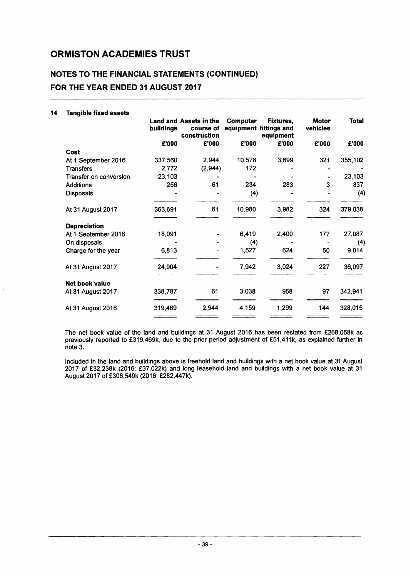### NOTES TO THE FINANCIAL STATEMENTS (CONTINUED)

### FOR THE YEAR ENDED 31 AUGUST 2017

#### 14 Tangible fixed assets

|                        | buildings | Land and Assets in the<br>course of<br>construction | Computer | Fixtures,<br>equipment fittings and<br>equipment | <b>Motor</b><br>vehicles | <b>Total</b> |
|------------------------|-----------|-----------------------------------------------------|----------|--------------------------------------------------|--------------------------|--------------|
|                        | £'000     | £'000                                               | £'000    | £'000                                            | £'000                    | £'000        |
| Cost                   |           |                                                     |          |                                                  |                          |              |
| At 1 September 2016    | 337,560   | 2,944                                               | 10,578   | 3,699                                            | 321                      | 355,102      |
| <b>Transfers</b>       | 2,772     | (2,944)                                             | 172      |                                                  |                          |              |
| Transfer on conversion | 23,103    |                                                     |          |                                                  |                          | 23,103       |
| <b>Additions</b>       | 256       | 61                                                  | 234      | 283                                              | 3                        | 837          |
| Disposals              |           |                                                     | (4)      |                                                  |                          | (4)          |
| At 31 August 2017      | 363,691   | 61                                                  | 10,980   | 3,982                                            | 324                      | 379,038      |
| <b>Depreciation</b>    |           |                                                     |          |                                                  |                          |              |
| At 1 September 2016    | 18,091    |                                                     | 6,419    | 2,400                                            | 177                      | 27,087       |
| On disposals           |           |                                                     | (4)      |                                                  |                          | (4)          |
| Charge for the year    | 6,813     |                                                     | 1,527    | 624                                              | 50                       | 9,014        |
| At 31 August 2017      | 24,904    |                                                     | 7,942    | 3,024                                            | 227                      | 36,097       |
| Net book value         |           |                                                     |          |                                                  |                          |              |
| At 31 August 2017      | 338,787   | 61                                                  | 3,038    | 958                                              | 97                       | 342,941      |
| At 31 August 2016      | 319,469   | 2,944                                               | 4,159    | 1,299                                            | 144                      | 328,015      |
|                        |           |                                                     |          |                                                  |                          |              |

The net book value of the land and buildings at 31 August 2016 has been restated from £268,058k as previously reported to £319,469k, due to the prior period adjustment of £51,411k, as explained further in note 3.

Included in the land and buildings above is freehold land and buildings with a net book value at 31 August 2017 of £32,238k (2016: £37,022k) and long leasehold land and buildings with a net book value at 31 August 2017 of £306,549k (2016: £282,447k).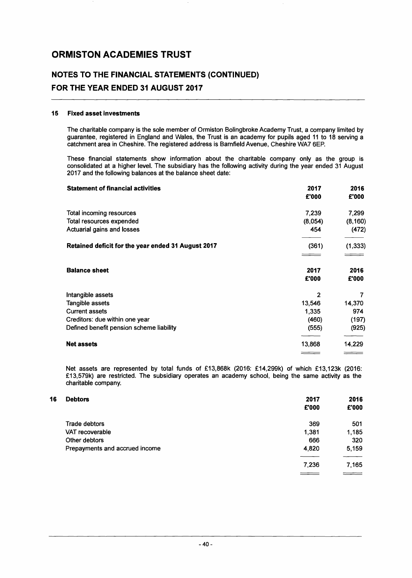### **NOTES TO THE FINANCIAL STATEMENTS (CONTINUED)**

### **FOR THE YEAR ENDED 31 AUGUST 2017**

#### **15 Fixed asset investments**

The charitable company is the sole member of Ormiston Bolingbroke Academy Trust, a company limited by guarantee, registered in England and Wales, the Trust is an academy for pupils aged 11 to 18 serving a catchment area in Cheshire. The registered address is Barnfield Avenue, Cheshire WA7 6EP.

These financial statements show information about the charitable company only as the group is consolidated at a higher level. The subsidiary has the following activity during the year ended 31 August 2017 and the following balances at the balance sheet date:

| <b>Statement of financial activities</b>           | 2017<br>£'000  | 2016<br>£'000 |
|----------------------------------------------------|----------------|---------------|
| Total incoming resources                           | 7,239          | 7,299         |
| Total resources expended                           | (8,054)        | (8, 160)      |
| Actuarial gains and losses                         | 454            | (472)         |
| Retained deficit for the year ended 31 August 2017 | (361)          | (1, 333)      |
|                                                    |                |               |
| <b>Balance sheet</b>                               | 2017           | 2016          |
|                                                    | £'000          | £'000         |
| Intangible assets                                  | $\overline{2}$ |               |
| Tangible assets                                    | 13,546         | 14,370        |
| <b>Current assets</b>                              | 1,335          | 974           |
| Creditors: due within one year                     | (460)          | (197)         |
| Defined benefit pension scheme liability           | (555)          | (925)         |
| <b>Net assets</b>                                  | 13,868         | 14,229        |
|                                                    |                |               |

Net assets are represented by total funds of £13,868k (2016: £14,299k) of which £13,123k (2016: £13,579k) are restricted. The subsidiary operates an academy school, being the same activity as the charitable company.

| 16 | <b>Debtors</b>                 | 2017<br>£'000 | 2016<br>£'000 |
|----|--------------------------------|---------------|---------------|
|    | Trade debtors                  | 369           | 501           |
|    | VAT recoverable                | 1,381         | 1,185         |
|    | Other debtors                  | 666           | 320           |
|    | Prepayments and accrued income | 4,820         | 5,159         |
|    |                                | 7,236         | 7,165         |
|    |                                | ————          | ___           |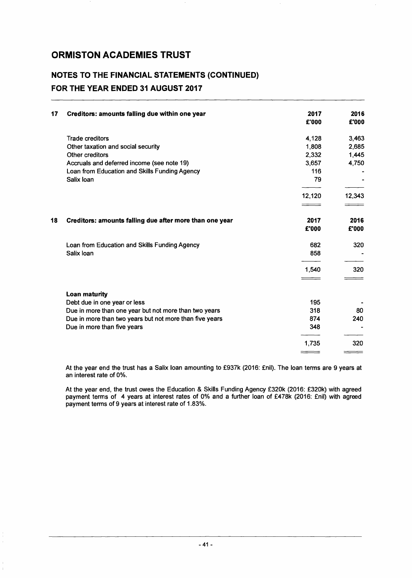### **NOTES TO THE FINANCIAL STATEMENTS (CONTINUED) FOR THE YEAR ENDED 31 AUGUST 2017**

| 17 | Creditors: amounts falling due within one year          | 2017<br>£'000 | 2016<br>£'000 |
|----|---------------------------------------------------------|---------------|---------------|
|    | <b>Trade creditors</b>                                  | 4,128         | 3,463         |
|    | Other taxation and social security                      | 1,808         | 2,685         |
|    | Other creditors                                         | 2,332         | 1,445         |
|    | Accruals and deferred income (see note 19)              | 3,657         | 4,750         |
|    | Loan from Education and Skills Funding Agency           | 116           |               |
|    | Salix Ioan                                              | 79            |               |
|    |                                                         | 12,120        | 12,343        |
|    |                                                         |               |               |
| 18 | Creditors: amounts falling due after more than one year | 2017          | 2016          |
|    |                                                         | £'000         | £'000         |
|    | Loan from Education and Skills Funding Agency           | 682           | 320           |
|    | Salix Ioan                                              | 858           |               |
|    |                                                         | 1,540         | 320           |
|    |                                                         |               |               |
|    | Loan maturity                                           |               |               |
|    | Debt due in one year or less                            | 195           |               |
|    | Due in more than one year but not more than two years   | 318           | 80            |
|    | Due in more than two years but not more than five years | 874           | 240           |
|    | Due in more than five years                             | 348           |               |
|    |                                                         | 1,735         | 320           |
|    |                                                         |               |               |

At the year end the trust has a Salix loan amounting to £937k (2016: £nil). The loan terms are 9 years at an interest rate of 0%.

At the year end, the trust owes the Education & Skills Funding Agency £320k (2016: £320k) with agreed payment terms of 4 years at interest rates of 0% and a further loan of £478k (2016: £nil) with agreed payment terms of 9 years at interest rate of 1.83%.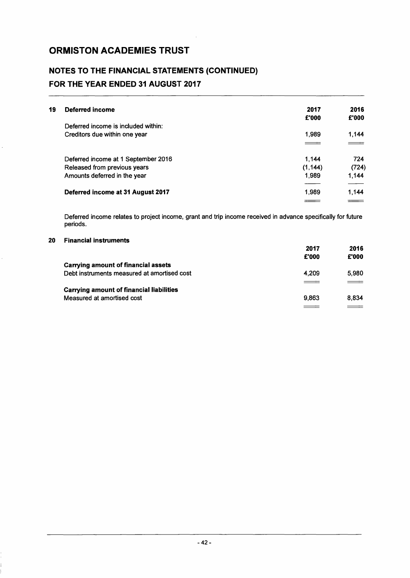### **NOTES TO THE FINANCIAL STATEMENTS (CONTINUED) FOR THE YEAR ENDED 31 AUGUST 2017**

| 19 | Deferred income                     | 2017<br>£'000 | 2016<br>£'000 |
|----|-------------------------------------|---------------|---------------|
|    | Deferred income is included within: |               |               |
|    | Creditors due within one year       | 1.989         | 1,144         |
|    |                                     |               |               |
|    |                                     |               |               |
|    | Deferred income at 1 September 2016 | 1.144         | 724           |
|    | Released from previous years        | (1, 144)      | (724)         |
|    | Amounts deferred in the year        | 1.989         | 1,144         |
|    |                                     |               |               |
|    | Deferred income at 31 August 2017   | 1.989         | 1,144         |
|    |                                     |               |               |
|    |                                     |               |               |

Deferred income relates to project income, grant and trip income received in advance specifically for future periods.

#### **20 Financial instruments**

|                                             | 2017  | 2016  |
|---------------------------------------------|-------|-------|
|                                             | £'000 | £'000 |
| Carrying amount of financial assets         |       |       |
| Debt instruments measured at amortised cost | 4.209 | 5.980 |
|                                             |       | ----  |
| Carrying amount of financial liabilities    |       |       |
| Measured at amortised cost                  | 9.863 | 8.834 |
|                                             |       |       |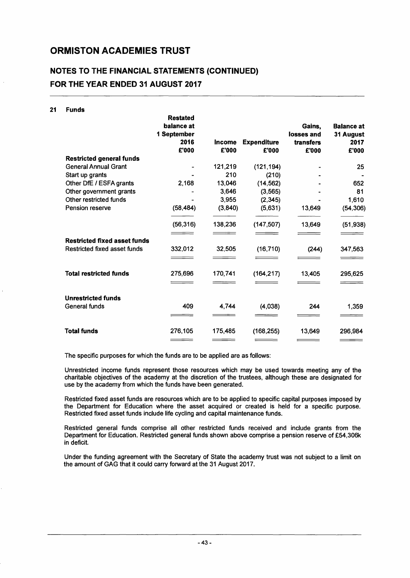### **NOTES TO THE FINANCIAL STATEMENTS (CONTINUED) FOR THE YEAR ENDED 31 AUGUST 2017**

| 21 | <b>Funds</b>                        |                                                               |                        |                             |                                            |                                                 |
|----|-------------------------------------|---------------------------------------------------------------|------------------------|-----------------------------|--------------------------------------------|-------------------------------------------------|
|    |                                     | <b>Restated</b><br>balance at<br>1 September<br>2016<br>£'000 | <b>Income</b><br>£'000 | <b>Expenditure</b><br>£'000 | Gains,<br>losses and<br>transfers<br>£'000 | <b>Balance at</b><br>31 August<br>2017<br>£'000 |
|    | <b>Restricted general funds</b>     |                                                               |                        |                             |                                            |                                                 |
|    | <b>General Annual Grant</b>         |                                                               | 121,219                | (121, 194)                  |                                            | 25                                              |
|    | Start up grants                     |                                                               | 210                    | (210)                       |                                            |                                                 |
|    | Other DfE / ESFA grants             | 2,168                                                         | 13,046                 | (14, 562)                   |                                            | 652                                             |
|    | Other government grants             |                                                               | 3,646                  | (3, 565)                    |                                            | 81                                              |
|    | Other restricted funds              |                                                               | 3,955                  | (2, 345)                    |                                            | 1,610                                           |
|    | <b>Pension reserve</b>              | (58, 484)                                                     | (3, 840)               | (5,631)                     | 13,649                                     | (54, 306)                                       |
|    |                                     | (56, 316)                                                     | 138,236                | (147, 507)                  | 13,649                                     | (51, 938)<br>$\hspace{1.5cm} =$                 |
|    | <b>Restricted fixed asset funds</b> |                                                               |                        |                             |                                            |                                                 |
|    | Restricted fixed asset funds        | 332,012                                                       | 32.505                 | (16, 710)                   | (244)                                      | 347,563                                         |
|    | <b>Total restricted funds</b>       | 275,696                                                       | 170,741                | (164, 217)                  | 13,405                                     | 295,625                                         |
|    | <b>Unrestricted funds</b>           |                                                               |                        |                             |                                            |                                                 |
|    | General funds                       | 409                                                           | 4,744                  | (4,038)                     | 244                                        | 1,359                                           |
|    |                                     |                                                               |                        |                             |                                            |                                                 |
|    | <b>Total funds</b>                  | 276,105                                                       | 175,485                | (168, 255)                  | 13,649                                     | 296,984                                         |
|    |                                     |                                                               |                        |                             |                                            |                                                 |

The specific purposes for which the funds are to be applied are as follows:

Unrestricted income funds represent those resources which may be used towards meeting any of the charitable objectives of the academy at the discretion of the trustees, although these are designated for use by the academy from which the funds have been generated.

Restricted fixed asset funds are resources which are to be applied to specific capital purposes imposed by the Department for Education where the asset acquired or created is held for a specific purpose. Restricted fixed asset funds include life cycling and capital maintenance funds.

Restricted general funds comprise all other restricted funds received and include grants from the Department for Education. Restricted general funds shown above comprise a pension reserve of £54,306k in deficit.

Under the funding agreement with the Secretary of State the academy trust was not subject to a limit on the amount of GAG that it could carry forward at the 31 August 2017.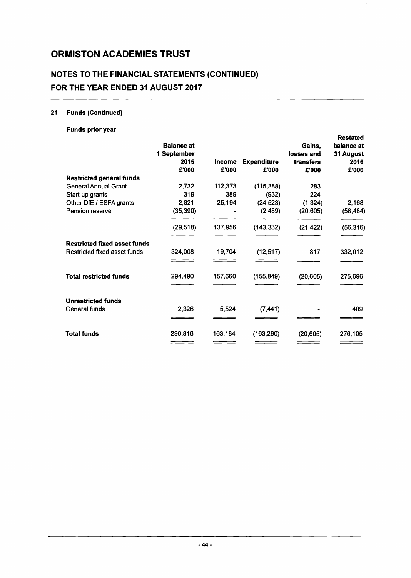### **NOTES TO THE FINANCIAL STATEMENTS (CONTINUED) FOR THE YEAR ENDED 31 AUGUST 2017**

#### **21 Funds (Continued)**

**Funds prior year** 

|                                     | <b>Balance at</b><br>1 September<br>2015<br>£'000 | <b>Income</b><br>£'000 | <b>Expenditure</b><br>£'000 | Gains,<br>losses and<br>transfers<br>£'000 | <b>Restated</b><br>balance at<br>31 August<br>2016<br>£'000 |
|-------------------------------------|---------------------------------------------------|------------------------|-----------------------------|--------------------------------------------|-------------------------------------------------------------|
| <b>Restricted general funds</b>     |                                                   |                        |                             |                                            |                                                             |
| <b>General Annual Grant</b>         | 2,732                                             | 112,373                | (115, 388)                  | 283                                        |                                                             |
| Start up grants                     | 319                                               | 389                    | (932)                       | 224                                        |                                                             |
| Other DfE / ESFA grants             | 2,821                                             | 25,194                 | (24, 523)                   | (1, 324)                                   | 2,168                                                       |
| Pension reserve                     | (35, 390)                                         |                        | (2, 489)                    | (20, 605)                                  | (58, 484)                                                   |
|                                     | (29, 518)                                         | 137,956                | (143, 332)                  | (21, 422)                                  | (56, 316)                                                   |
| <b>Restricted fixed asset funds</b> |                                                   |                        |                             |                                            |                                                             |
| Restricted fixed asset funds        | 324,008                                           | 19,704                 | (12, 517)                   | 817                                        | 332,012                                                     |
|                                     |                                                   |                        |                             |                                            |                                                             |
| <b>Total restricted funds</b>       | 294,490                                           | 157,660                | (155, 849)                  | (20, 605)                                  | 275,696                                                     |
|                                     |                                                   |                        |                             |                                            |                                                             |
| <b>Unrestricted funds</b>           |                                                   |                        |                             |                                            |                                                             |
| General funds                       | 2,326                                             | 5,524                  | (7, 441)                    |                                            | 409                                                         |
|                                     |                                                   |                        |                             |                                            |                                                             |
| <b>Total funds</b>                  | 296,816                                           | 163,184                | (163, 290)                  | (20, 605)                                  | 276,105                                                     |
|                                     |                                                   |                        |                             |                                            |                                                             |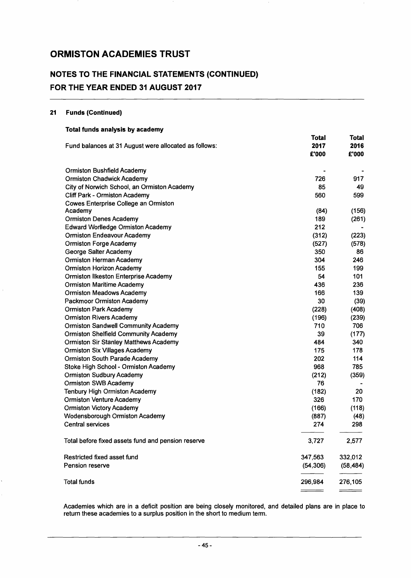### **NOTES TO THE FINANCIAL STATEMENTS (CONTINUED) FOR THE YEAR ENDED 31 AUGUST 2017**

#### **21 Funds (Continued)**

| Total funds analysis by academy                       |                               |                        |
|-------------------------------------------------------|-------------------------------|------------------------|
| Fund balances at 31 August were allocated as follows: | <b>Total</b><br>2017<br>£'000 | Total<br>2016<br>£'000 |
| <b>Ormiston Bushfield Academy</b>                     |                               |                        |
| <b>Ormiston Chadwick Academy</b>                      | 726                           | 917                    |
| City of Norwich School, an Ormiston Academy           | 85                            | 49                     |
| Cliff Park - Ormiston Academy                         | 560                           | 599                    |
| <b>Cowes Enterprise College an Ormiston</b>           |                               |                        |
| Academy                                               | (84)                          | (156)                  |
| <b>Ormiston Denes Academy</b>                         | 189                           | (261)                  |
| <b>Edward Worlledge Ormiston Academy</b>              | 212                           |                        |
| <b>Ormiston Endeavour Academy</b>                     | (312)                         | (223)                  |
| <b>Ormiston Forge Academy</b>                         | (527)                         | (578)                  |
| George Salter Academy                                 | 350                           | 86                     |
| <b>Ormiston Herman Academy</b>                        | 304                           | 246                    |
| <b>Ormiston Horizon Academy</b>                       | 155                           | 199                    |
| Ormiston likeston Enterprise Academy                  | 54                            | 101                    |
| <b>Ormiston Maritime Academy</b>                      | 436                           | 236                    |
| <b>Ormiston Meadows Academy</b>                       | 166                           | 139                    |
| <b>Packmoor Ormiston Academy</b>                      | 30                            | (39)                   |
| <b>Ormiston Park Academy</b>                          | (228)                         | (408)                  |
| <b>Ormiston Rivers Academy</b>                        | (196)                         | (239)                  |
| <b>Ormiston Sandwell Community Academy</b>            | 710                           | 706                    |
| <b>Ormiston Shelfield Community Academy</b>           | 39                            | (177)                  |
| <b>Ormiston Sir Stanley Matthews Academy</b>          | 484                           | 340                    |
| <b>Ormiston Six Villages Academy</b>                  | 175                           | 178                    |
| Ormiston South Parade Academy                         | 202                           | 114                    |
| Stoke High School - Ormiston Academy                  | 968                           | 785                    |
| <b>Ormiston Sudbury Academy</b>                       | (212)                         | (359)                  |
| <b>Ormiston SWB Academy</b>                           | 76                            |                        |
| <b>Tenbury High Ormiston Academy</b>                  | (182)                         | 20                     |
| <b>Ormiston Venture Academy</b>                       | 326                           | 170                    |
| <b>Ormiston Victory Academy</b>                       | (166)                         | (118)                  |
| <b>Wodensborough Ormiston Academy</b>                 | (887)                         | (48)                   |
| <b>Central services</b>                               | 274                           | 298                    |
| Total before fixed assets fund and pension reserve    | 3,727                         | 2,577                  |
| Restricted fixed asset fund                           | 347,563                       | 332,012                |
| Pension reserve                                       | (54, 306)                     | (58, 484)              |
| <b>Total funds</b>                                    | 296,984                       | 276,105                |
|                                                       |                               |                        |

Academies which are in a deficit position are being closely monitored, and detailed plans are in place to return these academies to a surplus position in the short to medium term.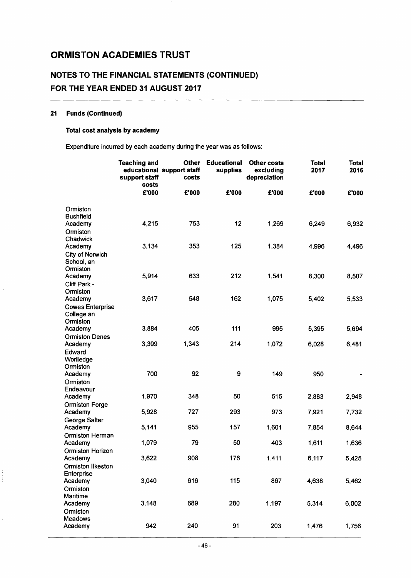### **NOTES TO THE FINANCIAL STATEMENTS (CONTINUED) FOR THE YEAR ENDED 31 AUGUST 2017**

#### **21 Funds (Continued)**

#### **Total cost analysis by academy**

Expenditure incurred by each academy during the year was as follows:

|                                                              | <b>Teaching and</b><br>support staff<br>costs | <b>Other</b><br>educational support staff<br>costs | <b>Educational</b><br>supplies | <b>Other costs</b><br>excluding<br>depreciation | <b>Total</b><br>2017 | Total<br>2016 |
|--------------------------------------------------------------|-----------------------------------------------|----------------------------------------------------|--------------------------------|-------------------------------------------------|----------------------|---------------|
|                                                              | £'000                                         | £'000                                              | £'000                          | £'000                                           | £'000                | £'000         |
| Ormiston<br><b>Bushfield</b><br>Academy                      | 4,215                                         | 753                                                | 12                             | 1,269                                           | 6,249                | 6,932         |
| Ormiston<br>Chadwick                                         |                                               |                                                    |                                |                                                 |                      |               |
| Academy<br><b>City of Norwich</b><br>School, an<br>Ormiston  | 3,134                                         | 353                                                | 125                            | 1,384                                           | 4,996                | 4,496         |
| Academy<br>Cliff Park -<br>Ormiston                          | 5,914                                         | 633                                                | 212                            | 1,541                                           | 8,300                | 8,507         |
| Academy<br><b>Cowes Enterprise</b><br>College an<br>Ormiston | 3,617                                         | 548                                                | 162                            | 1,075                                           | 5,402                | 5,533         |
| Academy<br><b>Ormiston Denes</b>                             | 3,884                                         | 405                                                | 111                            | 995                                             | 5,395                | 5,694         |
| Academy<br>Edward<br>Worlledge<br>Ormiston                   | 3,399                                         | 1,343                                              | 214                            | 1,072                                           | 6,028                | 6,481         |
| Academy<br>Ormiston<br>Endeavour                             | 700                                           | 92                                                 | 9                              | 149                                             | 950                  |               |
| Academy<br><b>Ormiston Forge</b>                             | 1,970                                         | 348                                                | 50                             | 515                                             | 2,883                | 2,948         |
| Academy<br>George Salter                                     | 5,928                                         | 727                                                | 293                            | 973                                             | 7,921                | 7,732         |
| Academy<br>Ormiston Herman                                   | 5,141                                         | 955                                                | 157                            | 1,601                                           | 7,854                | 8,644         |
| Academy<br><b>Ormiston Horizon</b>                           | 1,079                                         | 79                                                 | 50                             | 403                                             | 1,611                | 1,636         |
| Academy<br><b>Ormiston Ilkeston</b><br>Enterprise            | 3,622                                         | 908                                                | 176                            | 1,411                                           | 6,117                | 5,425         |
| Academy<br>Ormiston<br>Maritime                              | 3,040                                         | 616                                                | 115                            | 867                                             | 4,638                | 5,462         |
| Academy<br>Ormiston<br><b>Meadows</b>                        | 3,148                                         | 689                                                | 280                            | 1,197                                           | 5,314                | 6,002         |
| Academy                                                      | 942                                           | 240                                                | 91                             | 203                                             | 1,476                | 1,756         |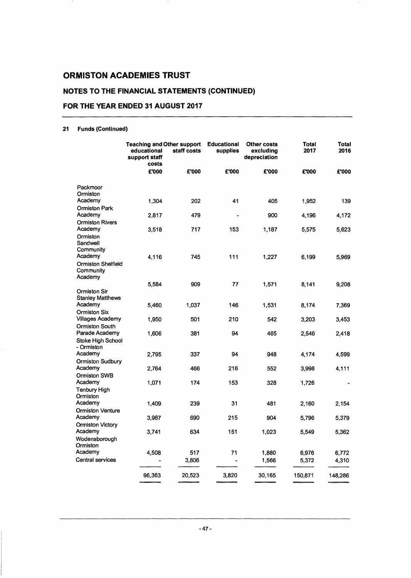### **NOTES TO THE FINANCIAL STATEMENTS (CONTINUED)**

#### **FOR THE YEAR ENDED 31 AUGUST 2017**

#### 21 Funds (Continued)

|                                                                 | <b>Teaching and Other support</b><br>educational<br>support staff<br>costs | staff costs | <b>Educational</b><br>supplies | <b>Other costs</b><br>excluding<br>depreciation | Total<br>2017 | <b>Total</b><br>2016 |
|-----------------------------------------------------------------|----------------------------------------------------------------------------|-------------|--------------------------------|-------------------------------------------------|---------------|----------------------|
|                                                                 | £'000                                                                      | £'000       | £'000                          | £'000                                           | £'000         | £'000                |
| Packmoor<br>Ormiston                                            |                                                                            |             |                                |                                                 |               |                      |
| Academy<br><b>Ormiston Park</b>                                 | 1,304                                                                      | 202         | 41                             | 405                                             | 1,952         | 139                  |
| Academy<br><b>Ormiston Rivers</b>                               | 2,817                                                                      | 479         |                                | 900                                             | 4,196         | 4,172                |
| Academy<br>Ormiston<br>Sandwell<br>Community                    | 3,518                                                                      | 717         | 153                            | 1,187                                           | 5,575         | 5,623                |
| Academy<br><b>Ormiston Shelfield</b><br>Community<br>Academy    | 4,116                                                                      | 745         | 111                            | 1,227                                           | 6,199         | 5.969                |
|                                                                 | 5,584                                                                      | 909         | 77                             | 1,571                                           | 8,141         | 9,208                |
| <b>Ormiston Sir</b><br><b>Stanley Matthews</b><br>Academy       | 5,460                                                                      | 1,037       | 146                            | 1,531                                           | 8,174         | 7,369                |
| Ormiston Six<br>Villages Academy                                | 1,950                                                                      | 501         | 210                            | 542                                             | 3,203         | 3,453                |
| <b>Ormiston South</b><br>Parade Academy<br>Stoke High School    | 1,606                                                                      | 381         | 94                             | 465                                             | 2,546         | 2,418                |
| - Ormiston<br>Academy                                           | 2,795                                                                      | 337         | 94                             | 948                                             | 4,174         | 4.599                |
| <b>Ormiston Sudbury</b><br>Academy                              | 2.764                                                                      | 466         | 216                            | 552                                             | 3,998         | 4,111                |
| <b>Ormiston SWB</b><br>Academy<br>Tenbury High                  | 1,071                                                                      | 174         | 153                            | 328                                             | 1,726         |                      |
| Ormiston<br>Academy                                             | 1,409                                                                      | 239         | 31                             | 481                                             | 2.160         | 2.154                |
| Ormiston Venture<br>Academy                                     | 3,987                                                                      | 690         | 215                            | 904                                             | 5,796         | 5,379                |
| <b>Ormiston Victory</b><br>Academy<br>Wodensborough<br>Ormiston | 3,741                                                                      | 634         | 151                            | 1,023                                           | 5,549         | 5.362                |
| Academy                                                         | 4,508                                                                      | 517         | 71                             | 1,880                                           | 6,976         | 6,772                |
| Central services                                                |                                                                            | 3,806       | ٠                              | 1,566                                           | 5,372         | 4,310                |
|                                                                 | 96,363                                                                     | 20,523      | 3,820                          | 30,165                                          | 150,871       | 148,286              |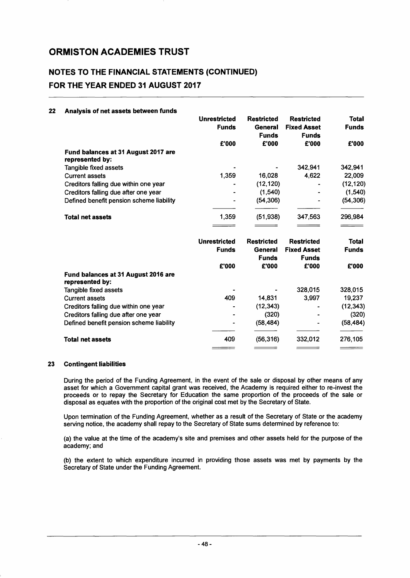### NOTES TO THE FINANCIAL STATEMENTS (CONTINUED) FOR THE YEAR ENDED 31 AUGUST 2017

|                                                                                               |  | Analysis of net assets between funds                   |
|-----------------------------------------------------------------------------------------------|--|--------------------------------------------------------|
| <b>Unrestricted</b><br><b>Total</b><br><b>Restricted</b><br><b>Restricted</b>                 |  |                                                        |
| <b>Funds</b><br><b>Fixed Asset</b><br><b>Funds</b><br>General                                 |  |                                                        |
| <b>Funds</b><br><b>Funds</b>                                                                  |  |                                                        |
| £'000<br>£'000<br>£'000<br>£'000                                                              |  |                                                        |
|                                                                                               |  | Fund balances at 31 August 2017 are<br>represented by: |
| 342,941<br>342,941                                                                            |  | Tangible fixed assets                                  |
| 1,359<br>4,622<br>22,009<br>16,028                                                            |  | <b>Current assets</b>                                  |
| (12, 120)<br>(12, 120)                                                                        |  | Creditors falling due within one year                  |
| (1,540)<br>(1,540)                                                                            |  | Creditors falling due after one year                   |
| (54, 306)<br>(54, 306)                                                                        |  | Defined benefit pension scheme liability               |
| 1,359<br>(51, 938)<br>347,563<br>296,984                                                      |  | <b>Total net assets</b>                                |
|                                                                                               |  |                                                        |
| <b>Unrestricted</b><br><b>Restricted</b><br><b>Restricted</b><br><b>Total</b>                 |  |                                                        |
| <b>Funds</b><br><b>Fixed Asset</b><br><b>Funds</b><br>General<br><b>Funds</b><br><b>Funds</b> |  |                                                        |
| £'000<br>£'000<br>£'000<br>£'000                                                              |  |                                                        |
|                                                                                               |  | Fund balances at 31 August 2016 are<br>represented by: |
| 328,015<br>328,015                                                                            |  | <b>Tangible fixed assets</b>                           |
| 409<br>14,831<br>3,997<br>19,237                                                              |  | <b>Current assets</b>                                  |
| (12, 343)<br>(12, 343)                                                                        |  | Creditors falling due within one year                  |
| (320)<br>(320)                                                                                |  | Creditors falling due after one year                   |
| (58, 484)<br>(58, 484)                                                                        |  | Defined benefit pension scheme liability               |
| (56, 316)<br>409<br>332,012<br>276,105                                                        |  | <b>Total net assets</b>                                |
|                                                                                               |  |                                                        |
|                                                                                               |  |                                                        |

#### 23 Contingent liabilities

During the period of the Funding Agreement, in the event of the sale or disposal by other means of any asset for which a Government capital grant was received, the Academy is required either to re-invest the proceeds or to repay the Secretary for Education the same proportion of the proceeds of the sale or disposal as equates with the proportion of the original cost met by the Secretary of State.

Upon termination of the Funding Agreement, whether as a result of the Secretary of State or the academy serving notice, the academy shall repay to the Secretary of State sums determined by reference to:

(a) the value at the time of the academy's site and premises and other assets held for the purpose of the academy; and

(b) the extent to which expenditure incurred in providing those assets was met by payments by the Secretary of State under the Funding Agreement.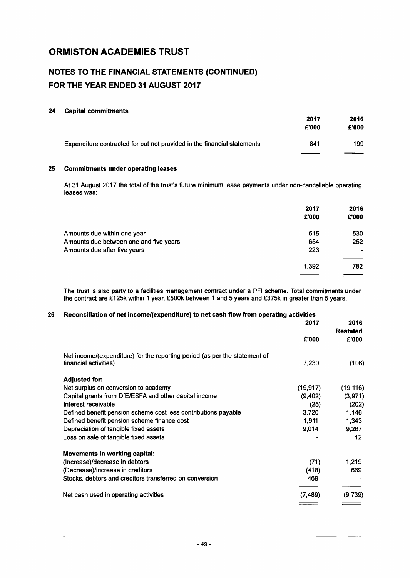### NOTES TO THE FINANCIAL STATEMENTS (CONTINUED) FOR THE YEAR ENDED 31 AUGUST 2017

#### 24 Capital commitments

|                                                                         | 2017<br>£'000                     | 2016<br>£'000 |
|-------------------------------------------------------------------------|-----------------------------------|---------------|
| Expenditure contracted for but not provided in the financial statements | 841                               | 199           |
|                                                                         | and the control of the control of | $  -$         |

#### 25 Commitments under operating leases

At 31 August 2017 the total of the trust's future minimum lease payments under non-cancellable operating leases was:

|                                        | 2017<br>£'000 | 2016<br>£'000            |
|----------------------------------------|---------------|--------------------------|
| Amounts due within one year            | 515           | 530                      |
| Amounts due between one and five years | 654           | 252                      |
| Amounts due after five years           | 223           | $\overline{\phantom{a}}$ |
|                                        |               |                          |
|                                        | 1,392         | 782                      |
|                                        |               |                          |

The trust is also party to a facilities management contract under a PFI scheme. Total commitments under the contract are £125k within 1 year, £500k between 1 and 5 years and £375k in greater than 5 years.

#### 26 Reconciliation of net income/(expenditure) to net cash flow from operating activities

|                                                                            | 2017      | 2016                     |  |
|----------------------------------------------------------------------------|-----------|--------------------------|--|
|                                                                            | £'000     | <b>Restated</b><br>£'000 |  |
| Net income/(expenditure) for the reporting period (as per the statement of |           |                          |  |
| financial activities)                                                      | 7,230     | (106)                    |  |
| <b>Adjusted for:</b>                                                       |           |                          |  |
| Net surplus on conversion to academy                                       | (19, 917) | (19, 116)                |  |
| Capital grants from DfE/ESFA and other capital income                      | (9, 402)  | (3,971)                  |  |
| Interest receivable                                                        | (25)      | (202)                    |  |
| Defined benefit pension scheme cost less contributions payable             | 3,720     | 1,146                    |  |
| Defined benefit pension scheme finance cost                                | 1,911     | 1,343                    |  |
| Depreciation of tangible fixed assets                                      | 9,014     | 9.267                    |  |
| Loss on sale of tangible fixed assets                                      |           | $12 \,$                  |  |
| <b>Movements in working capital:</b>                                       |           |                          |  |
| (Increase)/decrease in debtors                                             | (71)      | 1,219                    |  |
| (Decrease)/increase in creditors                                           | (418)     | 669                      |  |
| Stocks, debtors and creditors transferred on conversion                    | 469       |                          |  |
| Net cash used in operating activities                                      | (7, 489)  | (9,739)                  |  |
|                                                                            |           |                          |  |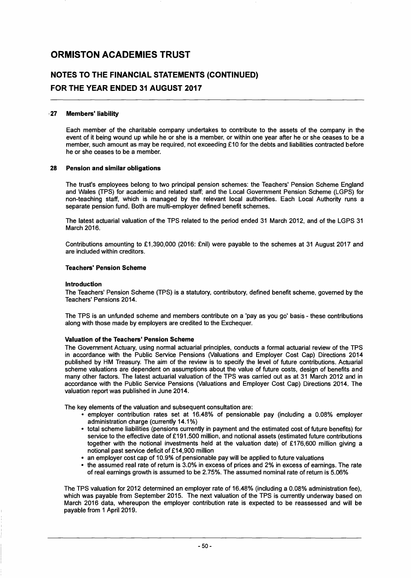### NOTES TO THE FINANCIAL STATEMENTS (CONTINUED)

#### FOR THE YEAR ENDED 31 AUGUST 2017

#### - 27 Members" liability

Each member of the charitable company undertakes to contribute to the assets of the company in the event of it being wound up while he or she is a member, or within one year after he or she ceases to be a member, such amount as may be required, not exceeding £10 for the debts and liabilities contracted before he or she ceases to be a member.

#### 28 Pension and similar obligations

The trust's employees belong to two principal pension schemes: the Teachers' Pension Scheme England and Wales (TPS) for academic and related staff; and the Local Government Pension Scheme (LGPS) for non-teaching staff, which is managed by the relevant local authorities. Each Local Authority runs a separate pension fund. Both are multi-employer defined benefit schemes.

The latest actuarial valuation of the TPS related to the period ended 31 March 2012, and of the LGPS 31 March 2016.

Contributions amounting to £1,390,000 (2016: £nil) were payable to the schemes at 31 August 2017 and are included within creditors.

#### Teachers" Pension Scheme

#### Introduction

The Teachers' Pension Scheme (TPS) is a statutory, contributory, defined benefit scheme, governed by the Teachers' Pensions 2014.

The TPS is an unfunded scheme and members contribute on a 'pay as you go' basis - these contributions along with those made by employers are credited to the Exchequer.

#### Valuation of the Teachers' Pension Scheme

The Government Actuary, using normal actuarial principles, conducts a formal actuarial review of the TPS in accordance with the Public Service Pensions (Valuations and Employer Cost Cap) Directions 2014 published by HM Treasury. The aim of the review is to specify the level of future contributions. Actuarial scheme valuations are dependent on assumptions about the value of future costs, design of benefits and many other factors. The latest actuarial valuation of the TPS was carried out as at 31 March 2012 and in accordance with the Public Service Pensions (Valuations and Employer Cost Cap) Directions 2014. The valuation report was published in June 2014.

The key elements of the valuation and subsequent consultation are:

- employer contribution rates set at 16.48% of pensionable pay (including a 0.08% employer administration charge (currently 14.1 %)
- total scheme liabilities (pensions currently in payment and the estimated cost of future benefits) for service to the effective date of £191,500 million, and notional assets (estimated future contributions together with the notional investments held at the valuation date) of £176,600 million giving a notional past service deficit of £14,900 million
- an employer cost cap of 10.9% of pensionable pay will be applied to future valuations
- the assumed real rate of return is 3.0% in excess of prices and 2% in excess of earnings. The rate of real earnings growth is assumed to be 2.75%. The assumed nominal rate of return is 5.06%

The TPS valuation for 2012 determined an employer rate of 16.48% (including a 0.08% administration fee), which was payable from September 2015. The next valuation of the TPS is currently underway based on March 2016 data, whereupon the employer contribution rate is expected to be reassessed and will be payable from 1 April 2019.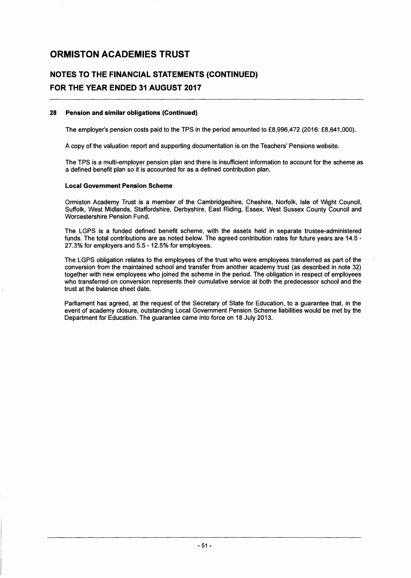### **NOTES TO THE FINANCIAL STATEMENTS (CONTINUED) FOR THE YEAR ENDED 31 AUGUST 2017**

#### **28 Pension and similar obligations (Continued)**

The employer's pension costs paid to the TPS in the period amounted to £8,996,472 (2016: £8,641,000).

A copy of the valuation report and supporting documentation is on the Teachers' Pensions website.

The TPS is a multi-employer pension plan and there is insufficient information to account for the scheme as a defined benefit plan so it is accounted for as a defined contribution plan.

#### **Local Government Pension Scheme**

Ormiston Academy Trust is a member of the Cambridgeshire, Cheshire, Norfolk, Isle of Wight Council, Suffolk, West Midlands, Staffordshire, Derbyshire, East Riding, Essex, West Sussex County Council and Worcestershire Pension Fund.

The LGPS is a funded defined benefit scheme, with the assets held in separate trustee-administered funds. The total contributions are as noted below. The agreed contribution rates for future years are 14.6 - 27.3% for employers and 5.5 - 12.5% for employees.

The LGPS obligation relates to the employees of the trust who were employees transferred as part of the conversion from the maintained school and transfer from another academy trust (as described in note 32) together with new employees who joined the scheme in the period. The obligation in respect of employees who transferred on conversion represents their cumulative service at both the predecessor school and the trust at the balance sheet date.

Parliament has agreed, at the request of the Secretary of State for Education, to a guarantee that, in the event of academy closure, outstanding Local Government Pension Scheme liabilities would be met by the Department for Education. The guarantee came into force on 18 July 2013.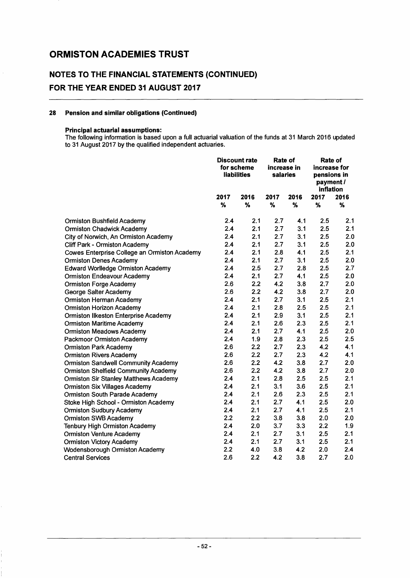### **NOTES TO THE FINANCIAL STATEMENTS (CONTINUED) FOR THE YEAR ENDED 31 AUGUST 2017**

### **28 Pension and similar obligations (Continued)**

#### **Principal actuarial assumptions:**

The following information is based upon a full actuarial valuation of the funds at 31 March 2016 updated to 31 August 2017 by the qualified independent actuaries.

|                                                     | <b>Discount rate</b><br>for scheme<br><b>liabilities</b> |      | Rate of<br>increase in<br>salaries |      | Rate of<br>increase for<br>pensions in<br>payment /<br>inflation |      |
|-----------------------------------------------------|----------------------------------------------------------|------|------------------------------------|------|------------------------------------------------------------------|------|
|                                                     | 2017                                                     | 2016 | 2017                               | 2016 | 2017                                                             | 2016 |
|                                                     | %                                                        | %    | %                                  | %    | %                                                                | %    |
| <b>Ormiston Bushfield Academy</b>                   | 2.4                                                      | 2.1  | 2.7                                | 4.1  | 2.5                                                              | 2.1  |
| <b>Ormiston Chadwick Academy</b>                    | 2.4                                                      | 2.1  | 2.7                                | 3.1  | 2.5                                                              | 2.1  |
| City of Norwich, An Ormiston Academy                | 2.4                                                      | 2.1  | 2.7                                | 3.1  | 2.5                                                              | 2.0  |
| Cliff Park - Ormiston Academy                       | 2.4                                                      | 2.1  | 2.7                                | 3.1  | 2.5                                                              | 2.0  |
| <b>Cowes Enterprise College an Ormiston Academy</b> | 2.4                                                      | 2.1  | 2.8                                | 4.1  | 2.5                                                              | 2.1  |
| <b>Ormiston Denes Academy</b>                       | 2.4                                                      | 2.1  | 2.7                                | 3.1  | 2.5                                                              | 2.0  |
| <b>Edward Worlledge Ormiston Academy</b>            | 2.4                                                      | 2.5  | 2.7                                | 2.8  | 2.5                                                              | 2.7  |
| <b>Ormiston Endeavour Academy</b>                   | 2.4                                                      | 2.1  | 2.7                                | 4.1  | 2.5                                                              | 2.0  |
| <b>Ormiston Forge Academy</b>                       | 2.6                                                      | 2.2  | 4.2                                | 3.8  | 2.7                                                              | 2.0  |
| George Salter Academy                               | 2.6                                                      | 2.2  | 4.2                                | 3.8  | 2.7                                                              | 2.0  |
| <b>Ormiston Herman Academy</b>                      | 2.4                                                      | 2.1  | 2.7                                | 3.1  | 2.5                                                              | 2.1  |
| <b>Ormiston Horizon Academy</b>                     | 2.4                                                      | 2.1  | 2.8                                | 2.5  | 2.5                                                              | 2.1  |
| <b>Ormiston Ilkeston Enterprise Academy</b>         | 2.4                                                      | 2.1  | 2.9                                | 3.1  | 2.5                                                              | 2.1  |
| <b>Ormiston Maritime Academy</b>                    | 2.4                                                      | 2.1  | 2.6                                | 2.3  | 2.5                                                              | 2.1  |
| <b>Ormiston Meadows Academy</b>                     | 2.4                                                      | 2.1  | 2.7                                | 4.1  | 2.5                                                              | 2.0  |
| <b>Packmoor Ormiston Academy</b>                    | 2.4                                                      | 1.9  | 2.8                                | 2.3  | 2.5                                                              | 2.5  |
| <b>Ormiston Park Academy</b>                        | 2.6                                                      | 2.2  | 2.7                                | 2.3  | 4.2                                                              | 4.1  |
| <b>Ormiston Rivers Academy</b>                      | 2.6                                                      | 2.2  | 2.7                                | 2.3  | 4.2                                                              | 4.1  |
| <b>Ormiston Sandwell Community Academy</b>          | 2.6                                                      | 2.2  | 4.2                                | 3.8  | 2.7                                                              | 2.0  |
| <b>Ormiston Shelfield Community Academy</b>         | 2.6                                                      | 2.2  | 4.2                                | 3.8  | 2.7                                                              | 2.0  |
| <b>Ormiston Sir Stanley Matthews Academy</b>        | 2.4                                                      | 2.1  | 2.8                                | 2.5  | 2.5                                                              | 2.1  |
| <b>Ormiston Six Villages Academy</b>                | 2.4                                                      | 2.1  | 3.1                                | 3.6  | 2.5                                                              | 2.1  |
| Ormiston South Parade Academy                       | 2.4                                                      | 2.1  | 2.6                                | 2.3  | 2.5                                                              | 2.1  |
| Stoke High School - Ormiston Academy                | 2.4                                                      | 2.1  | 2.7                                | 4.1  | 2.5                                                              | 2.0  |
| <b>Ormiston Sudbury Academy</b>                     | 2.4                                                      | 2.1  | 2.7                                | 4.1  | 2.5                                                              | 2.1  |
| <b>Ormiston SWB Academy</b>                         | 2.2                                                      | 2.2  | 3.8                                | 3.8  | 2.0                                                              | 2.0  |
| <b>Tenbury High Ormiston Academy</b>                | 2.4                                                      | 2.0  | 3.7                                | 3.3  | 2.2                                                              | 1.9  |
| <b>Ormiston Venture Academy</b>                     | 2.4                                                      | 2.1  | 2.7                                | 3.1  | 2.5                                                              | 2.1  |
| <b>Ormiston Victory Academy</b>                     | 2.4                                                      | 2.1  | 2.7                                | 3.1  | 2.5                                                              | 2.1  |
| <b>Wodensborough Ormiston Academy</b>               | 2.2                                                      | 4.0  | 3.8                                | 4.2  | 2.0                                                              | 2.4  |
| <b>Central Services</b>                             | 2.6                                                      | 2.2  | 4.2                                | 3.8  | 2.7                                                              | 2.0  |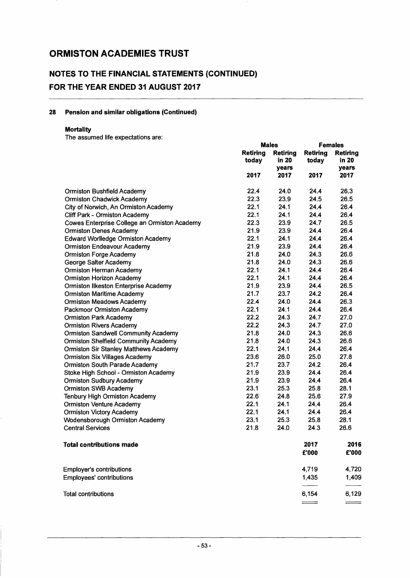### **NOTES TO THE FINANCIAL STATEMENTS (CONTINUED) FOR THE YEAR ENDED 31 AUGUST 2017**

#### **28 Pension and similar obligations (Continued)**

#### **Mortality**

The assumed life expectations are:

|                                                     | <b>Males</b>             |                            | <b>Females</b>    |                                   |  |
|-----------------------------------------------------|--------------------------|----------------------------|-------------------|-----------------------------------|--|
|                                                     | <b>Retiring</b><br>today | Retiring<br>in 20<br>years | Retiring<br>today | <b>Retiring</b><br>in 20<br>years |  |
|                                                     | 2017                     | 2017                       | 2017              | 2017                              |  |
| <b>Ormiston Bushfield Academy</b>                   | 22.4                     | 24.0                       | 24.4              | 26.3                              |  |
| <b>Ormiston Chadwick Academy</b>                    | 22.3                     | 23.9                       | 24.5              | 26.5                              |  |
| City of Norwich, An Ormiston Academy                | 22.1                     | 24.1                       | 24.4              | 26.4                              |  |
| <b>Cliff Park - Ormiston Academy</b>                | 22.1                     | 24.1                       | 24.4              | 26.4                              |  |
| <b>Cowes Enterprise College an Ormiston Academy</b> | 22.3                     | 23.9                       | 24.7              | 26.5                              |  |
| <b>Ormiston Denes Academy</b>                       | 21.9                     | 23.9                       | 24.4              | 26.4                              |  |
| <b>Edward Worlledge Ormiston Academy</b>            | 22.1                     | 24.1                       | 24.4              | 26.4                              |  |
| <b>Ormiston Endeavour Academy</b>                   | 21.9                     | 23.9                       | 24.4              | 26.4                              |  |
| <b>Ormiston Forge Academy</b>                       | 21.8                     | 24.0                       | 24.3              | 26.6                              |  |
| George Salter Academy                               | 21.8                     | 24.0                       | 24.3              | 26.6                              |  |
| <b>Ormiston Herman Academy</b>                      | 22.1                     | 24.1                       | 24.4              | 26.4                              |  |
| <b>Ormiston Horizon Academy</b>                     | 22.1                     | 24.1                       | 24.4              | 26.4                              |  |
| <b>Ormiston Ilkeston Enterprise Academy</b>         | 21.9                     | 23.9                       | 24.4              | 26.5                              |  |
| <b>Ormiston Maritime Academy</b>                    | 21.7                     | 23.7                       | 24.2              | 26.4                              |  |
| <b>Ormiston Meadows Academy</b>                     | 22.4                     | 24.0                       | 24.4              | 26.3                              |  |
| <b>Packmoor Ormiston Academy</b>                    | 22.1                     | 24.1                       | 24.4              | 26.4                              |  |
| <b>Ormiston Park Academy</b>                        | 22.2                     | 24.3                       | 24.7              | 27.0                              |  |
| <b>Ormiston Rivers Academy</b>                      | 22.2                     | 24.3                       | 24.7              | 27.0                              |  |
| <b>Ormiston Sandwell Community Academy</b>          | 21.8                     | 24.0                       | 24.3              | 26.6                              |  |
| <b>Ormiston Shelfield Community Academy</b>         | 21.8                     | 24.0                       | 24.3              | 26.6                              |  |
| <b>Ormiston Sir Stanley Matthews Academy</b>        | 22.1                     | 24.1                       | 24.4              | 26.4                              |  |
| <b>Ormiston Six Villages Academy</b>                | 23.6                     | 26.0                       | 25.0              | 27.8                              |  |
| Ormiston South Parade Academy                       | 21.7                     | 23.7                       | 24.2              | 26.4                              |  |
| Stoke High School - Ormiston Academy                | 21.9                     | 23.9                       | 24.4              | 26.4                              |  |
| <b>Ormiston Sudbury Academy</b>                     | 21.9                     | 23.9                       | 24.4              | 26.4                              |  |
| <b>Ormiston SWB Academy</b>                         | 23.1                     | 25.3                       | 25.8              | 28.1                              |  |
| Tenbury High Ormiston Academy                       | 22.6                     | 24.8                       | 25.6              | 27.9                              |  |
| Ormiston Venture Academy                            | 22.1                     | 24.1                       | 24.4              | 26.4                              |  |
| <b>Ormiston Victory Academy</b>                     | 22.1                     | 24.1                       | 24.4              | 26.4                              |  |
| <b>Wodensborough Ormiston Academy</b>               | 23.1                     | 25.3                       | 25.8              | 28.1                              |  |
| <b>Central Services</b>                             | 21.8                     | 24.0                       | 24.3              | 26.6                              |  |
| <b>Total contributions made</b>                     |                          |                            | 2017<br>£'000     | 2016<br>£'000                     |  |
| <b>Employer's contributions</b>                     |                          |                            | 4,719             | 4,720                             |  |
| <b>Employees' contributions</b>                     |                          |                            | 1,435             | 1,409                             |  |
| <b>Total contributions</b>                          |                          |                            | 6,154             | 6,129                             |  |
|                                                     |                          |                            |                   |                                   |  |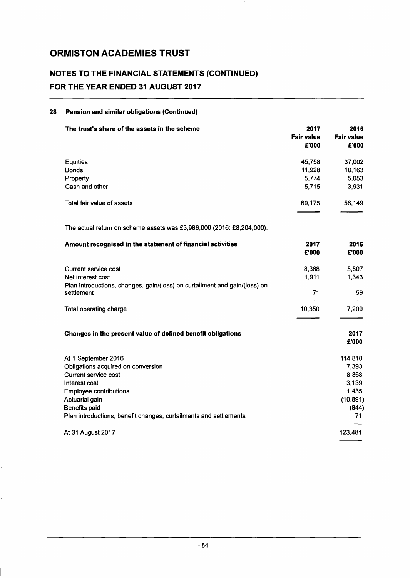### **NOTES TO THE FINANCIAL STATEMENTS (CONTINUED) FOR THE YEAR ENDED 31 AUGUST 2017**

#### **28 Pension and similar obligations (Continued)**

| The trust's share of the assets in the scheme                                             | 2017<br><b>Fair value</b><br>£'000 | 2016<br><b>Fair value</b><br>£'000 |
|-------------------------------------------------------------------------------------------|------------------------------------|------------------------------------|
| <b>Equities</b>                                                                           | 45,758                             | 37,002                             |
| <b>Bonds</b>                                                                              | 11,928                             | 10,163                             |
| Property                                                                                  | 5,774                              | 5,053                              |
| Cash and other                                                                            | 5,715                              | 3,931                              |
| Total fair value of assets                                                                | 69,175                             | 56,149                             |
| The actual return on scheme assets was £3,986,000 (2016: £8,204,000).                     |                                    |                                    |
| Amount recognised in the statement of financial activities                                | 2017<br>£'000                      | 2016<br>£'000                      |
| <b>Current service cost</b>                                                               | 8,368                              | 5,807                              |
| Net interest cost                                                                         | 1,911                              | 1,343                              |
| Plan introductions, changes, gain/(loss) on curtailment and gain/(loss) on<br>settlement  | 71                                 | 59                                 |
| Total operating charge                                                                    | 10,350                             | 7,209                              |
|                                                                                           |                                    |                                    |
| Changes in the present value of defined benefit obligations                               |                                    | 2017<br>£'000                      |
| At 1 September 2016                                                                       |                                    | 114,810                            |
| Obligations acquired on conversion                                                        |                                    | 7,393                              |
| <b>Current service cost</b>                                                               |                                    | 8,368                              |
| Interest cost                                                                             |                                    | 3,139                              |
| <b>Employee contributions</b>                                                             |                                    | 1,435                              |
| Actuarial gain                                                                            |                                    | (10, 891)                          |
| <b>Benefits paid</b><br>Plan introductions, benefit changes, curtailments and settlements |                                    | (844)<br>71                        |
| At 31 August 2017                                                                         |                                    | 123,481                            |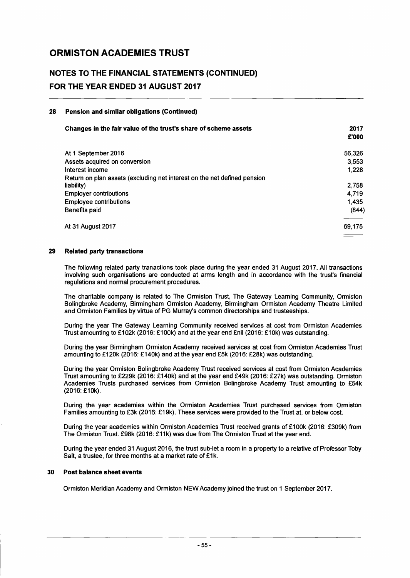### **NOTES TO THE FINANCIAL STATEMENTS (CONTINUED) FOR THE YEAR ENDED 31 AUGUST 2017**

#### **28 Pension and similar obligations (Continued)**

| Changes in the fair value of the trust's share of scheme assets          | 2017<br>£'000 |
|--------------------------------------------------------------------------|---------------|
| At 1 September 2016                                                      | 56.326        |
| Assets acquired on conversion                                            | 3.553         |
| Interest income                                                          | 1,228         |
| Return on plan assets (excluding net interest on the net defined pension |               |
| liability)                                                               | 2.758         |
| <b>Employer contributions</b>                                            | 4.719         |
| <b>Employee contributions</b>                                            | 1.435         |
| Benefits paid                                                            | (844)         |
| At 31 August 2017                                                        | 69.175        |
|                                                                          | ____          |

#### **29 Related party transactions**

The following related party tranactions took place during the year ended 31 August 2017. All transactions involving such organisations are conducted at arms length and in accordance with the trust's financial regulations and normal procurement procedures.

The charitable company is related to The Ormiston Trust, The Gateway Learning Community, Ormiston Bolingbroke Academy, Birmingham Ormiston Academy, Birmingham Ormiston Academy Theatre Limited and Ormiston Families by virtue of PG Murray's common directorships and trusteeships.

During the year The Gateway Learning Community received services at cost from Ormiston Academies Trust amounting to £102k (2016: £100k) and at the year end £nil (2016: £10k) was outstanding.

During the year Birmingham Ormiston Academy received services at cost from Ormiston Academies Trust amounting to £120k (2016: £140k) and at the year end £5k (2016: £28k) was outstanding.

During the year Ormiston Bolingbroke Academy Trust received services at cost from Ormiston Academies Trust amounting to £229k (2016: £140k) and at the year end £49k (2016: £27k) was outstanding. Ormiston Academies Trusts purchased services from Ormiston Bolingbroke Academy Trust amounting to £54k (2016: £10k).

During the year academies within the Ormiston Academies Trust purchased services from Ormiston Families amounting to £3k (2016: £19k). These services were provided to the Trust at, or below cost.

During the year academies within Ormiston Academies Trust received grants of £100k (2016: £309k) from The Ormiston Trust. £98k (2016: £11k) was due from The Ormiston Trust at the year end.

During the year ended 31 August 2016, the trust sub-let a room in a property to a relative of Professor Toby Salt, a trustee, for three months at a market rate of £1k.

#### **30 Post balance sheet events**

Ormiston Meridian Academy and Ormiston NEW Academy joined the trust on 1 September 2017.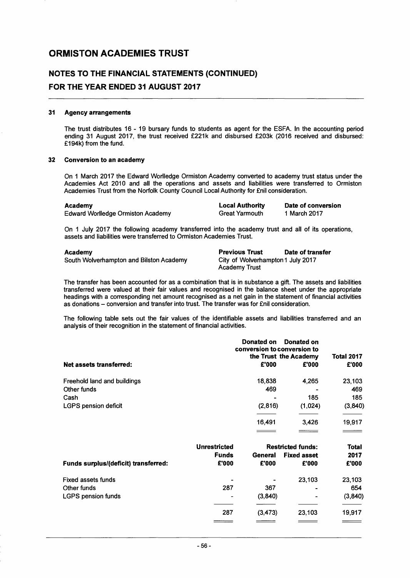### NOTES TO THE FINANCIAL STATEMENTS (CONTINUED)

#### FOR THE YEAR ENDED 31 AUGUST 2017

#### 31 Agency arrangements

The trust distributes 16 - 19 bursary funds to students as agent for the ESFA. In the accounting period ending 31 August 2017, the trust received £221k and disbursed £203k (2016 received and disbursed: £194k) from the fund.

#### 32 Conversion to an academy

On 1 March 2017 the Edward Worlledge Ormiston Academy converted to academy trust status under the Academies Act 2010 and all the operations and assets and liabilities were transferred to Ormiston Academies Trust from the Norfolk County Council Local Authority for £nil consideration.

| Academy                           | Local Authority       | Date of conversion |
|-----------------------------------|-----------------------|--------------------|
| Edward Worlledge Ormiston Academy | <b>Great Yarmouth</b> | 1 March 2017       |

On 1 July 2017 the following academy transferred into the academy trust and all of its operations, assets and liabilities were transferred to Ormiston Academies Trust.

#### Academy

| . |                                         |  |
|---|-----------------------------------------|--|
|   | South Wolverhampton and Bilston Academy |  |

Previous Trust Date of transfer City of Wolverhampton 1 July 2017 Academy Trust

The transfer has been accounted for as a combination that is in substance a gift. The assets and liabilities transferred were valued at their fair values and recognised in the balance sheet under the appropriate headings with a corresponding net amount recognised as a net gain in the statement of financial activities as donations - conversion and transfer into trust. The transfer was for £nil consideration.

The following table sets out the fair values of the identifiable assets and liabilities transferred and an analysis of their recognition in the statement of financial activities.

|                                      |                     | <b>Donated on</b><br>Donated on<br>conversion to conversion to<br>the Trust the Academy |                    | Total 2017 |
|--------------------------------------|---------------------|-----------------------------------------------------------------------------------------|--------------------|------------|
|                                      |                     |                                                                                         |                    |            |
| <b>Net assets transferred:</b>       |                     | £'000                                                                                   | £'000              | £'000      |
| Freehold land and buildings          |                     | 18,838                                                                                  | 4,265              | 23,103     |
| Other funds                          |                     | 469                                                                                     |                    | 469        |
| Cash                                 |                     |                                                                                         | 185                | 185        |
| <b>LGPS pension deficit</b>          |                     | (2, 816)                                                                                | (1,024)            | (3,840)    |
|                                      |                     | 16,491                                                                                  | 3,426              | 19,917     |
|                                      |                     |                                                                                         |                    |            |
|                                      | <b>Unrestricted</b> | <b>Restricted funds:</b>                                                                |                    | Total      |
|                                      | <b>Funds</b>        | General                                                                                 | <b>Fixed asset</b> | 2017       |
| Funds surplus/(deficit) transferred: | £'000               | £'000                                                                                   | £'000              | £'000      |
| <b>Fixed assets funds</b>            |                     |                                                                                         | 23,103             | 23,103     |
| Other funds                          | 287                 | 367                                                                                     |                    | 654        |
| <b>LGPS pension funds</b>            |                     | (3, 840)                                                                                |                    | (3, 840)   |
|                                      | 287                 | (3, 473)                                                                                | 23,103             | 19,917     |
|                                      |                     |                                                                                         |                    |            |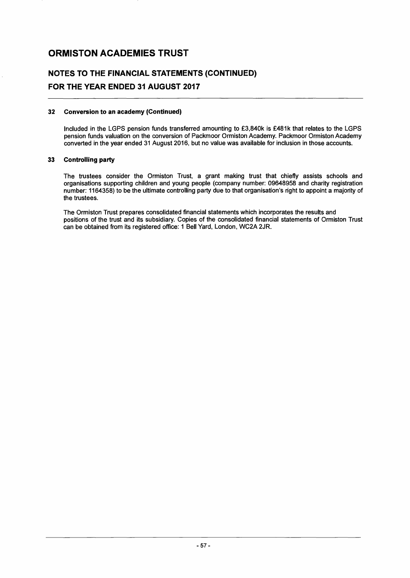### **NOTES TO THE FINANCIAL STATEMENTS (CONTINUED) FOR THE YEAR ENDED 31 AUGUST 2017**

#### **32 Conversion to an academy (Continued)**

Included in the LGPS pension funds transferred amounting to £3,840k is £481k that relates to the LGPS pension funds valuation on the conversion of Packmoor Ormiston Academy. Packmoor Ormiston Academy converted in the year ended 31 August 2016, but no value was available for inclusion in those accounts.

#### **33 Controlling party**

The trustees consider the Ormiston Trust, a grant making trust that chiefly assists schools and organisations supporting children and young people (company number: 09648958 and charity registration number: 1164358) to be the ultimate controlling party due to that organisation's right to appoint a majority of the trustees.

The Ormiston Trust prepares consolidated financial statements which incorporates the results and positions of the trust and its subsidiary. Copies of the consolidated financial statements of Ormiston Trust can be obtained from its registered office: 1 Bell Yard, London, WC2A 2JR.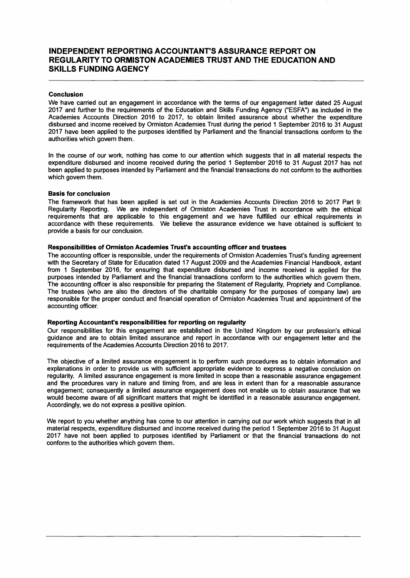#### **INDEPENDENT REPORTING ACCOUNTANT'S ASSURANCE REPORT ON REGULARITY TO ORMISTON ACADEMIES TRUST AND THE EDUCATION AND SKILLS FUNDING AGENCY**

#### **Conclusion**

We have carried out an engagement in accordance with the terms of our engagement letter dated 25 August 2017 and further to the requirements of the Education and Skills Funding Agency ("ESFA") as included in the Academies Accounts Direction 2016 to 2017, to obtain limited assurance about whether the expenditure disbursed and income received by Ormiston Academies Trust during the period 1 September 2016 to 31 August 2017 have been applied to the purposes identified by Parliament and the financial transactions conform to the authorities which govern them.

In the course of our work, nothing has come to our attention which suggests that in all material respects the expenditure disbursed and income received during the period 1 September 2016 to 31 August 2017 has not been applied to purposes intended by Parliament and the financial transactions do not conform to the authorities which govern them.

#### **Basis for conclusion**

The framework that has been applied is set out in the Academies Accounts Direction 2016 to 2017 Part 9: Regularity Reporting. We are independent of Ormiston Academies Trust in accordance with the ethical requirements that are applicable to this engagement and we have fulfilled our ethical requirements in accordance with these requirements. We believe the assurance evidence we have obtained is sufficient to provide a basis for our conclusion.

#### **Responsibilities of Ormiston Academies Trust's accounting officer and trustees**

The accounting officer is responsible, under the requirements of Ormiston Academies Trust's funding agreement with the Secretary of State for Education dated 17 August 2009 and the Academies Financial Handbook, extant from 1 September 2016, for ensuring that expenditure disbursed and income received is applied for the purposes intended by Parliament and the financial transactions conform to the authorities which govern them. The accounting officer is also responsible for preparing the Statement of Regularity, Propriety and Compliance. The trustees (who are also the directors of the charitable company for the purposes of company law) are responsible for the proper conduct and financial operation of Ormiston Academies Trust and appointment of the accounting officer.

#### **Reporting Accountant's responsibilities for reporting on regularity**

Our responsibilities for this engagement are established in the United Kingdom by our profession's ethical guidance and are to obtain limited assurance and report in accordance with our engagement letter and the requirements of the Academies Accounts Direction 2016 to 2017.

The objective of a limited assurance engagement is to perform such procedures as to obtain information and explanations in order to provide us with sufficient appropriate evidence to express a negative conclusion on regularity. A limited assurance engagement is more limited in scope than a reasonable assurance engagement and the procedures vary in nature and timing from, and are less in extent than for a reasonable assurance engagement; consequently a limited assurance engagement does not enable us to obtain assurance that we would become aware of all significant matters that might be identified in a reasonable assurance engagement. Accordingly, we do not express a positive opinion.

We report to you whether anything has come to our attention in carrying out our work which suggests that in all material respects, expenditure disbursed and income received during the period 1 September 2016 to 31 August 2017 have not been applied to purposes identified by Parliament or that the financial transactions do not conform to the authorities which govern them.